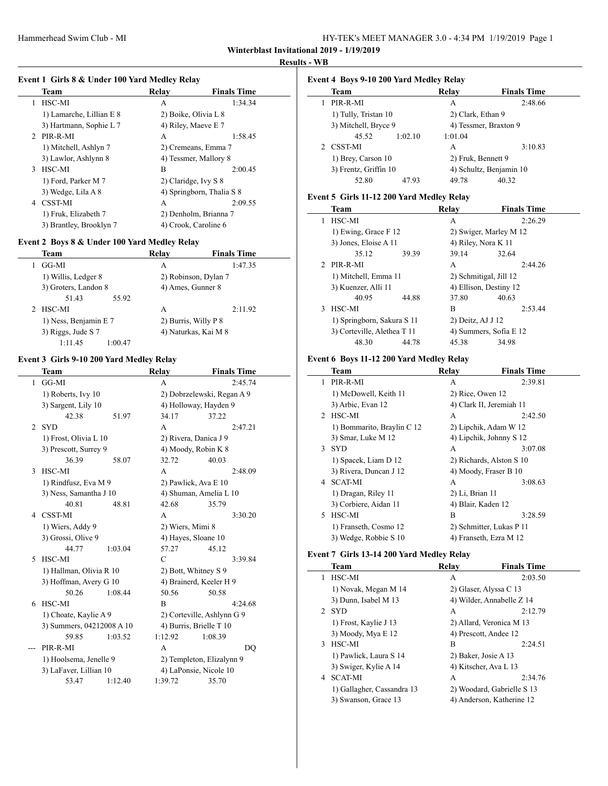$\frac{1}{2}$ 

 $\overline{a}$ 

 $\overline{\phantom{a}}$ 

#### **Results - WB**

## **Event 1 Girls 8 & Under 100 Yard Medley Relay**

| Team                             | Relay                | <b>Finals Time</b>        |  |
|----------------------------------|----------------------|---------------------------|--|
| HSC-MI<br>1                      | A                    | 1:34.34                   |  |
| 1) Lamarche, Lillian E 8         | 2) Boike, Olivia L 8 |                           |  |
| 3) Hartmann, Sophie L 7          | 4) Riley, Maeve E 7  |                           |  |
| 2 PIR-R-MI                       | А                    | 1:58.45                   |  |
| 1) Mitchell, Ashlyn 7            |                      | 2) Cremeans, Emma 7       |  |
| 3) Lawlor, Ashlynn 8             |                      | 4) Tessmer, Mallory 8     |  |
| HSC-MI<br>3                      | B                    | 2:00.45                   |  |
| 1) Ford, Parker M 7              | 2) Claridge, Ivy S 8 |                           |  |
| 3) Wedge, Lila A 8               |                      | 4) Springborn, Thalia S 8 |  |
| <b>CSST-MI</b><br>$\overline{4}$ | А                    | 2:09.55                   |  |
| 1) Fruk, Elizabeth 7             |                      | 2) Denholm, Brianna 7     |  |
| 3) Brantley, Brooklyn 7          |                      | 4) Crook, Caroline 6      |  |

## **Event 2 Boys 8 & Under 100 Yard Medley Relay**

| Team                  | Relay | <b>Finals Time</b>   |
|-----------------------|-------|----------------------|
| GG-MI                 | A     | 1:47.35              |
| 1) Willis, Ledger 8   |       | 2) Robinson, Dylan 7 |
| 3) Groters, Landon 8  |       | 4) Ames, Gunner 8    |
| 51.43<br>55.92        |       |                      |
| 2 HSC-MI              | А     | 2:11.92              |
| 1) Ness, Benjamin E 7 |       | 2) Burris, Willy P 8 |
| 3) Riggs, Jude S 7    |       | 4) Naturkas, Kai M 8 |
| 1:11.45<br>1:00.47    |       |                      |

## **Event 3 Girls 9-10 200 Yard Medley Relay**

 $\overline{\phantom{0}}$ 

|                | Team                      |         | Relay                     | <b>Finals Time</b>         |  |
|----------------|---------------------------|---------|---------------------------|----------------------------|--|
| 1              | GG-MI                     |         | A                         | 2:45.74                    |  |
|                | 1) Roberts, Ivy 10        |         |                           | 2) Dobrzelewski, Regan A 9 |  |
|                | 3) Sargent, Lily 10       |         |                           | 4) Holloway, Hayden 9      |  |
|                | 42.38                     | 51.97   | 34.17                     | 37.22                      |  |
| $\mathfrak{D}$ | <b>SYD</b>                |         | A                         | 2:47.21                    |  |
|                | 1) Frost, Olivia L 10     |         |                           | 2) Rivera, Danica J 9      |  |
|                | 3) Prescott, Surrey 9     |         |                           | 4) Moody, Robin K 8        |  |
|                | 36.39                     | 58.07   | 32.72                     | 40.03                      |  |
| 3              | HSC-MI                    |         | A                         | 2:48.09                    |  |
|                | 1) Rindfusz, Eva M 9      |         |                           | 2) Pawlick, Ava E 10       |  |
|                | 3) Ness, Samantha J 10    |         |                           | 4) Shuman, Amelia L 10     |  |
|                | 40.81                     | 48.81   | 42.68                     | 35.79                      |  |
| 4              | <b>CSST-MI</b>            |         | A                         | 3:30.20                    |  |
|                | 1) Wiers, Addy 9          |         | 2) Wiers, Mimi 8          |                            |  |
|                | 3) Grossi, Olive 9        |         | 4) Hayes, Sloane 10       |                            |  |
|                | 44.77                     | 1:03.04 | 57.27                     | 45.12                      |  |
| 5              | HSC-MI                    |         | $\mathcal{C}$             | 3:39.84                    |  |
|                | 1) Hallman, Olivia R 10   |         |                           | 2) Bott, Whitney S 9       |  |
|                | 3) Hoffman, Avery G 10    |         |                           | 4) Brainerd, Keeler H 9    |  |
|                | 50.26                     | 1:08.44 | 50.56                     | 50.58                      |  |
| 6              | HSC-MI                    |         | B                         | 4:24.68                    |  |
|                | 1) Choate, Kaylie A 9     |         |                           | 2) Corteville, Ashlynn G 9 |  |
|                | 3) Summers, 04212008 A 10 |         |                           | 4) Burris, Brielle T 10    |  |
|                | 59.85                     | 1:03.52 | 1:12.92                   | 1:08.39                    |  |
|                | PIR-R-MI                  |         | A                         | DO                         |  |
|                | 1) Hoolsema, Jenelle 9    |         | 2) Templeton, Elizalynn 9 |                            |  |
|                | 3) LaFaver, Lillian 10    |         |                           | 4) LaPonsie, Nicole 10     |  |
|                | 53.47                     | 1:12.40 | 1:39.72                   | 35.70                      |  |

## **Event 4 Boys 9-10 200 Yard Medley Relay**

| <b>Team</b>           |         | Relay              | <b>Finals Time</b>      |
|-----------------------|---------|--------------------|-------------------------|
| PIR-R-MI              |         | А                  | 2:48.66                 |
| 1) Tully, Tristan 10  |         | 2) Clark, Ethan 9  |                         |
| 3) Mitchell, Bryce 9  |         |                    | 4) Tessmer, Braxton 9   |
| 45.52                 | 1:02.10 | 1:01.04            |                         |
| 2 CSST-MI             |         | A                  | 3:10.83                 |
| 1) Brey, Carson 10    |         | 2) Fruk, Bennett 9 |                         |
| 3) Frentz, Griffin 10 |         |                    | 4) Schultz, Benjamin 10 |
| 52.80                 | 47.93   | 49.78              | 40.32                   |

## **Event 5 Girls 11-12 200 Yard Medley Relay**

| Team                        | Relav                  | <b>Finals Time</b>     |
|-----------------------------|------------------------|------------------------|
| HSC-MI<br>1                 | A                      | 2:26.29                |
| 1) Ewing, Grace F 12        |                        | 2) Swiger, Marley M 12 |
| 3) Jones, Eloise A 11       | 4) Riley, Nora K 11    |                        |
| 35.12<br>39.39              | 39.14                  | 32.64                  |
| $2$ PIR-R-MI                | A                      | 2:44.26                |
| 1) Mitchell, Emma 11        | 2) Schmitigal, Jill 12 |                        |
| 3) Kuenzer, Alli 11         | 4) Ellison, Destiny 12 |                        |
| 40.95<br>44.88              | 37.80                  | 40.63                  |
| HSC-MI<br>3                 | R                      | 2:53.44                |
| 1) Springborn, Sakura S 11  | 2) Deitz, AJ J 12      |                        |
| 3) Corteville, Alethea T 11 |                        | 4) Summers, Sofia E 12 |
| 48.30<br>44.78              | 45.38                  | 34.98                  |

## **Event 6 Boys 11-12 200 Yard Medley Relay**

|               | Team                       | Relay            | <b>Finals Time</b>       |
|---------------|----------------------------|------------------|--------------------------|
|               | PIR-R-MI                   | A                | 2:39.81                  |
|               | 1) McDowell, Keith 11      | 2) Rice, Owen 12 |                          |
|               | 3) Arbic, Evan 12          |                  | 4) Clark II, Jeremiah 11 |
| $\mathcal{D}$ | HSC-MI                     | A                | 2:42.50                  |
|               | 1) Bommarito, Braylin C 12 |                  | 2) Lipchik, Adam W 12    |
|               | 3) Smar, Luke M 12         |                  | 4) Lipchik, Johnny S 12  |
| 3             | <b>SYD</b>                 | A                | 3:07.08                  |
|               | 1) Spacek, Liam D 12       |                  | 2) Richards, Alston S 10 |
|               | 3) Rivera, Duncan J 12     |                  | 4) Moody, Fraser B 10    |
| 4             | <b>SCAT-MI</b>             | A                | 3:08.63                  |
|               | 1) Dragan, Riley 11        | 2) Li, Brian 11  |                          |
|               | 3) Corbiere, Aidan 11      |                  | 4) Blair, Kaden 12       |
| 5.            | HSC-MI                     | B                | 3:28.59                  |
|               | 1) Franseth, Cosmo 12      |                  | 2) Schmitter, Lukas P 11 |
|               | 3) Wedge, Robbie S 10      |                  | 4) Franseth, Ezra M 12   |

## **Event 7 Girls 13-14 200 Yard Medley Relay**

|               | Team                       | Relav | <b>Finals Time</b>         |
|---------------|----------------------------|-------|----------------------------|
| 1             | HSC-MI                     | A     | 2:03.50                    |
|               | 1) Novak, Megan M 14       |       | 2) Glaser, Alyssa C 13     |
|               | 3) Dunn, Isabel M 13       |       | 4) Wilder, Annabelle Z 14  |
| $\mathcal{D}$ | <b>SYD</b>                 | A     | 2:12.79                    |
|               | 1) Frost, Kaylie J 13      |       | 2) Allard, Veronica M 13   |
|               | 3) Moody, Mya E 12         |       | 4) Prescott, Andee 12      |
| 3             | HSC-MI                     | B     | 2:24.51                    |
|               | 1) Pawlick, Laura S 14     |       | 2) Baker, Josie A 13       |
|               | 3) Swiger, Kylie A 14      |       | 4) Kitscher, Ava L 13      |
| 4             | <b>SCAT-MI</b>             | A     | 2:34.76                    |
|               | 1) Gallagher, Cassandra 13 |       | 2) Woodard, Gabrielle S 13 |
|               | 3) Swanson, Grace 13       |       | 4) Anderson, Katherine 12  |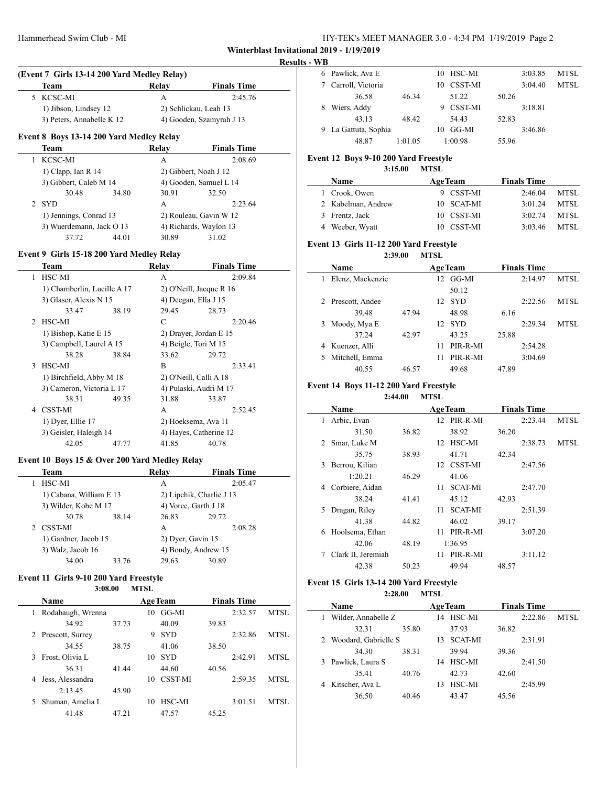#### **Results - WB**

 $\overline{\phantom{a}}$ 

 $\overline{\phantom{a}}$ 

| (Event 7 Girls 13-14 200 Yard Medley Relay) |                           |       |                          |  |  |
|---------------------------------------------|---------------------------|-------|--------------------------|--|--|
|                                             | Team                      | Relay | <b>Finals Time</b>       |  |  |
|                                             | 5 KCSC-MI                 | А     | 2:45.76                  |  |  |
|                                             | 1) Jibson, Lindsey 12     |       | 2) Schlickau, Leah 13    |  |  |
|                                             | 3) Peters, Annabelle K 12 |       | 4) Gooden, Szamyrah J 13 |  |  |

## **Event 8 Boys 13-14 200 Yard Medley Relay**

| Team                     |       | Relay                  | <b>Finals Time</b> |
|--------------------------|-------|------------------------|--------------------|
| KCSC-MI                  |       | А                      | 2:08.69            |
| 1) Clapp, Ian R $14$     |       | 2) Gibbert, Noah J 12  |                    |
| 3) Gibbert, Caleb M 14   |       | 4) Gooden, Samuel L 14 |                    |
| 30.48                    | 34.80 | 30.91                  | 32.50              |
| <b>SYD</b>               |       | А                      | 2:23.64            |
| 1) Jennings, Conrad 13   |       | 2) Rouleau, Gavin W 12 |                    |
| 3) Wuerdemann, Jack O 13 |       | 4) Richards, Waylon 13 |                    |
| 37.72                    | 44.01 | 30.89                  | 31.02              |

#### **Event 9 Girls 15-18 200 Yard Medley Relay**

|   | Team                        |       | Relay                   | <b>Finals Time</b> |
|---|-----------------------------|-------|-------------------------|--------------------|
| 1 | HSC-MI                      |       | A                       | 2:09.84            |
|   | 1) Chamberlin, Lucille A 17 |       | 2) O'Neill, Jacque R 16 |                    |
|   | 3) Glaser, Alexis N 15      |       | 4) Deegan, Ella J 15    |                    |
|   | 33.47                       | 38.19 | 29.45                   | 28.73              |
|   | 2 HSC-MI                    |       | C                       | 2:20.46            |
|   | 1) Bishop, Katie E 15       |       | 2) Drayer, Jordan E 15  |                    |
|   | 3) Campbell, Laurel A 15    |       | 4) Beigle, Tori M 15    |                    |
|   | 38.28                       | 38.84 | 33.62                   | 29.72              |
| 3 | HSC-MI                      |       | B                       | 2:33.41            |
|   | 1) Birchfield, Abby M 18    |       | 2) O'Neill, Calli A 18  |                    |
|   | 3) Cameron, Victoria L 17   |       | 4) Pulaski, Audri M 17  |                    |
|   | 38.31                       | 49.35 | 31.88                   | 33.87              |
| 4 | CSST-MI                     |       | A                       | 2:52.45            |
|   | 1) Dyer, Ellie 17           |       | 2) Hoeksema, Ava 11     |                    |
|   | 3) Geisler, Haleigh 14      |       | 4) Hayes, Catherine 12  |                    |
|   | 42.05                       | 47.77 | 41.85                   | 40.78              |
|   |                             |       |                         |                    |

## **Event 10 Boys 15 & Over 200 Yard Medley Relay**

| Team                    |       | Relay | <b>Finals Time</b>       |
|-------------------------|-------|-------|--------------------------|
| HSC-MI                  |       | А     | 2:05.47                  |
| 1) Cabana, William E 13 |       |       | 2) Lipchik, Charlie J 13 |
| 3) Wilder, Kobe M 17    |       |       | 4) Vorce, Garth J 18     |
| 30.78                   | 38.14 | 26.83 | 29.72                    |
| 2 CSST-MI               |       | A     | 2:08.28                  |
| 1) Gardner, Jacob 15    |       |       | 2) Dyer, Gavin 15        |
| 3) Walz, Jacob 16       |       |       | 4) Bondy, Andrew 15      |
| 34.00                   | 33.76 | 29.63 | 30.89                    |

#### **Event 11 Girls 9-10 200 Yard Freestyle**

|    | 3:08.00           |       | <b>MTSL</b> |                |       |                    |      |
|----|-------------------|-------|-------------|----------------|-------|--------------------|------|
|    | <b>Name</b>       |       |             | <b>AgeTeam</b> |       | <b>Finals Time</b> |      |
|    | Rodabaugh, Wrenna |       | 10          | GG-MI          |       | 2:32.57            | MTSL |
|    | 34.92             | 37.73 |             | 40.09          | 39.83 |                    |      |
| 2  | Prescott, Surrey  |       | 9           | <b>SYD</b>     |       | 2:32.86            | MTSL |
|    | 34.55             | 38.75 |             | 41.06          | 38.50 |                    |      |
|    | Frost, Olivia L   |       | 10          | <b>SYD</b>     |       | 2:42.91            | MTSL |
|    | 36.31             | 41.44 |             | 44.60          | 40.56 |                    |      |
|    | Jess, Alessandra  |       | 10          | <b>CSST-MI</b> |       | 2:59.35            | MTSL |
|    | 2:13.45           | 45.90 |             |                |       |                    |      |
| 5. | Shuman, Amelia L  |       | 10          | HSC-MI         |       | 3:01.51            | MTSL |
|    | 41.48             | 47.21 |             | 47.57          | 45.25 |                    |      |

| 6 Pawlick, Ava E     |         |    | 10 HSC-MI      |       | 3:03.85 | MTSL        |
|----------------------|---------|----|----------------|-------|---------|-------------|
| Carroll, Victoria    |         | 10 | CSST-MI        |       | 3:04.40 | <b>MTSL</b> |
| 36.58                | 46.34   |    | 51.22          | 50.26 |         |             |
| Wiers, Addy          |         |    | <b>CSST-MI</b> |       | 3:18.81 |             |
| 43.13                | 48.42   |    | 54.43          | 52.83 |         |             |
| 9 La Gattuta, Sophia |         | 10 | GG-MI          |       | 3:46.86 |             |
| 48.87                | 1:01.05 |    | 1:00.98        | 55.96 |         |             |

## **Event 12 Boys 9-10 200 Yard Freestyle**

**3:15.00 MTSL**

| <b>Name</b> |                    | <b>AgeTeam</b> | <b>Finals Time</b> |      |  |
|-------------|--------------------|----------------|--------------------|------|--|
|             | 1 Crook, Owen      | 9 CSST-MI      | 2:46.04            | MTSL |  |
|             | 2 Kabelman, Andrew | 10 SCAT-MI     | 3:01.24            | MTSL |  |
|             | 3 Frentz, Jack     | 10 CSST-MI     | 3:02.74            | MTSL |  |
|             | 4 Weeber, Wyatt    | 10 CSST-MI     | 3:03.46            | MTSL |  |

#### **Event 13 Girls 11-12 200 Yard Freestyle**

**2:39.00 MTSL**

|   | Name              |       |    | <b>AgeTeam</b> |       | <b>Finals Time</b> |      |
|---|-------------------|-------|----|----------------|-------|--------------------|------|
|   | Elenz, Mackenzie  |       | 12 | GG-MI          |       | 2:14.97            | MTSL |
|   |                   |       |    | 50.12          |       |                    |      |
|   | 2 Prescott, Andee |       | 12 | <b>SYD</b>     |       | 2:22.56            | MTSL |
|   | 39.48             | 47.94 |    | 48.98          | 6.16  |                    |      |
| 3 | Moody, Mya E      |       | 12 | -SYD           |       | 2:29.34            | MTSL |
|   | 37.24             | 42.97 |    | 43.25          | 25.88 |                    |      |
|   | Kuenzer, Alli     |       | 11 | PIR-R-MI       |       | 2:54.28            |      |
|   | Mitchell, Emma    |       | 11 | PIR-R-MI       |       | 3:04.69            |      |
|   | 40.55             | 46.57 |    | 49.68          | 47.89 |                    |      |

#### **Event 14 Boys 11-12 200 Yard Freestyle**

**2:44.00 MTSL**

|   | Name               |       | <b>AgeTeam</b>        | <b>Finals Time</b> |       |
|---|--------------------|-------|-----------------------|--------------------|-------|
| 1 | Arbic, Evan        |       | 12 PIR-R-MI           | 2:23.44            | MTSL  |
|   | 31.50              | 36.82 | 38.92                 | 36.20              |       |
| 2 | Smar, Luke M       |       | HSC-MI<br>12          | 2:38.73            | MTSL. |
|   | 35.75              | 38.93 | 41.71                 | 42.34              |       |
| 3 | Berrou, Kilian     |       | 12 CSST-MI            | 2:47.56            |       |
|   | 1:20.21            | 46.29 | 41.06                 |                    |       |
| 4 | Corbiere, Aidan    |       | <b>SCAT-MI</b><br>11  | 2:47.70            |       |
|   | 38.24              | 41.41 | 45.12                 | 42.93              |       |
| 5 | Dragan, Riley      |       | <b>SCAT-MI</b><br>11. | 2:51.39            |       |
|   | 41.38              | 44.82 | 46.02                 | 39.17              |       |
| 6 | Hoolsema, Ethan    |       | PIR-R-MI<br>11.       | 3:07.20            |       |
|   | 42.06              | 48.19 | 1:36.95               |                    |       |
| 7 | Clark II, Jeremiah |       | PIR-R-MI<br>11.       | 3:11.12            |       |
|   | 42.38              | 50.23 | 49.94                 | 48.57              |       |
|   |                    |       |                       |                    |       |

## **Event 15 Girls 13-14 200 Yard Freestyle**

**2:28.00 MTSL**

|   | Name                   |       |     | <b>AgeTeam</b> |       | <b>Finals Time</b> |             |
|---|------------------------|-------|-----|----------------|-------|--------------------|-------------|
|   | Wilder, Annabelle Z    |       | 14  | HSC-MI         |       | 2:22.86            | <b>MTSL</b> |
|   | 32.31                  | 35.80 |     | 37.93          | 36.82 |                    |             |
|   | 2 Woodard, Gabrielle S |       | 13. | <b>SCAT-MI</b> |       | 2:31.91            |             |
|   | 34.30                  | 38.31 |     | 39.94          | 39.36 |                    |             |
|   | 3 Pawlick, Laura S     |       | 14  | HSC-MI         |       | 2:41.50            |             |
|   | 35.41                  | 40.76 |     | 42.73          | 42.60 |                    |             |
| 4 | Kitscher, Ava L        |       | 13  | HSC-MI         |       | 2:45.99            |             |
|   | 36.50                  | 40.46 |     | 43.47          | 45.56 |                    |             |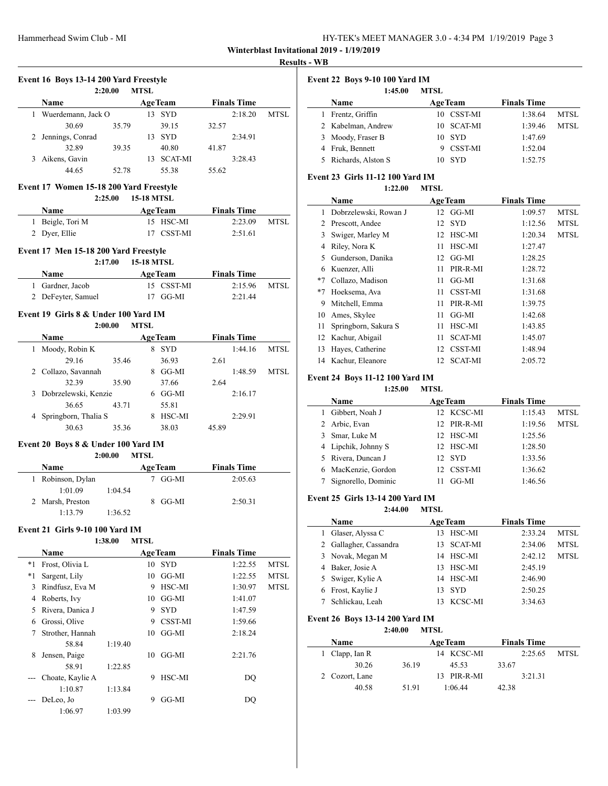| HY-TEK's MEET MANAGER 3.0 - 4:34 PM 1/19/2019 Page 3 |  |
|------------------------------------------------------|--|
|------------------------------------------------------|--|

# **Results - WB**

|          | Name                                    |         |                   | <b>AgeTeam</b>            |       | <b>Finals Time</b> |                                    |
|----------|-----------------------------------------|---------|-------------------|---------------------------|-------|--------------------|------------------------------------|
|          | 1 Wuerdemann, Jack O                    |         |                   | 13 SYD                    |       | 2:18.20            | MTSL                               |
|          | 30.69                                   | 35.79   |                   | 39.15                     | 32.57 |                    |                                    |
|          | 2 Jennings, Conrad                      |         |                   | 13 SYD                    |       | 2:34.91            |                                    |
|          | 32.89                                   | 39.35   |                   | 40.80                     | 41.87 |                    |                                    |
|          | 3 Aikens, Gavin                         |         |                   | 13 SCAT-MI                |       | 3:28.43            |                                    |
|          | 44.65                                   | 52.78   |                   | 55.38                     | 55.62 |                    |                                    |
|          | Event 17 Women 15-18 200 Yard Freestyle |         |                   |                           |       |                    |                                    |
|          |                                         | 2:25.00 | <b>15-18 MTSL</b> |                           |       |                    |                                    |
|          | Name                                    |         |                   | <b>Example 2</b> Age Team |       | <b>Finals Time</b> |                                    |
|          | 1 Beigle, Tori M                        |         |                   | 15 HSC-MI                 |       | 2:23.09            | <b>MTSL</b>                        |
|          | 2 Dyer, Ellie                           |         |                   | 17 CSST-MI                |       | 2:51.61            |                                    |
|          | Event 17 Men 15-18 200 Yard Freestyle   | 2:17.00 | <b>15-18 MTSL</b> |                           |       |                    |                                    |
|          | Name                                    |         |                   | <b>AgeTeam</b>            |       | <b>Finals Time</b> |                                    |
|          | 1 Gardner, Jacob                        |         |                   | 15 CSST-MI                |       | 2:15.96            | MTSL                               |
|          | 2 DeFeyter, Samuel                      |         |                   | 17 GG-MI                  |       | 2:21.44            |                                    |
|          |                                         |         |                   |                           |       |                    |                                    |
|          | Event 19 Girls 8 & Under 100 Yard IM    | 2:00.00 | <b>MTSL</b>       |                           |       |                    |                                    |
|          | Name                                    |         |                   | <b>AgeTeam</b>            |       | <b>Finals Time</b> |                                    |
|          | 1 Moody, Robin K                        |         |                   | 8 SYD                     |       | 1:44.16            | <b>MTSL</b>                        |
|          | 29.16                                   | 35.46   |                   | 36.93                     | 2.61  |                    |                                    |
|          | 2 Collazo, Savannah                     |         |                   | 8 GG-MI                   |       | 1:48.59            | <b>MTSL</b>                        |
|          | 32.39                                   | 35.90   |                   | 37.66                     | 2.64  |                    |                                    |
|          | 3 Dobrzelewski, Kenzie                  |         |                   | 6 GG-MI                   |       | 2:16.17            |                                    |
|          | 36.65                                   | 43.71   |                   | 55.81                     |       |                    |                                    |
|          | 4 Springborn, Thalia S                  |         |                   | 8 HSC-MI                  |       | 2:29.91            |                                    |
|          | 30.63                                   | 35.36   |                   | 38.03                     | 45.89 |                    |                                    |
|          |                                         |         |                   |                           |       |                    |                                    |
|          |                                         |         |                   |                           |       |                    |                                    |
|          | Event 20 Boys 8 & Under 100 Yard IM     | 2:00.00 | <b>MTSL</b>       |                           |       |                    |                                    |
|          | Name                                    |         |                   | <b>AgeTeam</b>            |       | <b>Finals Time</b> |                                    |
|          | 1 Robinson, Dylan                       |         |                   | 7 GG-MI                   |       | 2:05.63            |                                    |
|          | 1:01.09                                 | 1:04.54 |                   |                           |       |                    |                                    |
|          | 2 Marsh, Preston                        |         |                   | 8 GG-MI                   |       | 2:50.31            |                                    |
|          | 1:13.79                                 | 1:36.52 |                   |                           |       |                    |                                    |
|          | Event 21 Girls 9-10 100 Yard IM         |         |                   |                           |       |                    |                                    |
|          |                                         | 1:38.00 | <b>MTSL</b>       |                           |       |                    |                                    |
|          | <b>Name</b>                             |         |                   | <b>AgeTeam</b>            |       | <b>Finals Time</b> |                                    |
|          | Frost, Olivia L                         |         |                   | 10 SYD                    |       | 1:22.55            |                                    |
|          | Sargent, Lily                           |         |                   | $10$ GG-MI                |       | 1:22.55            |                                    |
|          | 3 Rindfusz, Eva M                       |         |                   | 9 HSC-MI                  |       | 1:30.97            |                                    |
|          | 4 Roberts, Ivy                          |         |                   | $10$ GG-MI                |       | 1:41.07            |                                    |
| *1<br>*1 | 5 Rivera, Danica J                      |         |                   | 9 SYD                     |       | 1:47.59            |                                    |
|          | 6 Grossi, Olive                         |         | 9                 | <b>CSST-MI</b>            |       | 1:59.66            |                                    |
| 7        | Strother, Hannah                        |         | 10                | GG-MI                     |       | 2:18.24            | <b>MTSL</b><br><b>MTSL</b><br>MTSL |
|          | 58.84                                   | 1:19.40 |                   |                           |       |                    |                                    |
| 8        | Jensen, Paige                           |         |                   | $10$ GG-MI                |       | 2:21.76            |                                    |
|          | 58.91                                   | 1:22.85 |                   |                           |       |                    |                                    |
|          | Choate, Kaylie A                        |         | 9                 | HSC-MI                    |       | DQ                 |                                    |
|          | 1:10.87                                 | 1:13.84 |                   |                           |       |                    |                                    |
|          | DeLeo, Jo<br>1:06.97                    | 1:03.99 |                   | 9 GG-MI                   |       | DQ                 |                                    |

| <b>Event 22 Boys 9-10 100 Yard IM</b> |                      |             |                |                    |             |
|---------------------------------------|----------------------|-------------|----------------|--------------------|-------------|
|                                       | 1:45.00              | <b>MTSL</b> |                |                    |             |
|                                       | <b>Name</b>          |             | <b>AgeTeam</b> | <b>Finals Time</b> |             |
|                                       | Frentz, Griffin      |             | 10 CSST-MI     | 1:38.64            | <b>MTSL</b> |
|                                       | 2 Kabelman, Andrew   |             | 10 SCAT-MI     | 1:39.46            | MTSI.       |
|                                       | 3 Moody, Fraser B    |             | 10 SYD         | 1:47.69            |             |
|                                       | 4 Fruk, Bennett      |             | <b>CSST-MI</b> | 1:52.04            |             |
|                                       | 5 Richards, Alston S | 10          | <b>SYD</b>     | 1:52.75            |             |

## **Event 23 Girls 11-12 100 Yard IM**

|      | 1:22.00               | <b>MTSL</b> |                |                    |             |
|------|-----------------------|-------------|----------------|--------------------|-------------|
|      | Name                  |             | <b>AgeTeam</b> | <b>Finals Time</b> |             |
| 1    | Dobrzelewski, Rowan J | 12          | GG-MI          | 1:09.57            | <b>MTSL</b> |
| 2    | Prescott, Andee       | 12          | <b>SYD</b>     | 1:12.56            | MTSL        |
| 3    | Swiger, Marley M      | 12          | HSC-MI         | 1:20.34            | <b>MTSL</b> |
| 4    | Riley, Nora K         | 11          | HSC-MI         | 1:27.47            |             |
| 5    | Gunderson, Danika     | 12          | GG-MI          | 1:28.25            |             |
| 6    | Kuenzer, Alli         | 11          | PIR-R-MI       | 1:28.72            |             |
| $*7$ | Collazo, Madison      | 11          | GG-MI          | 1:31.68            |             |
| $*7$ | Hoeksema, Ava         | 11          | CSST-MI        | 1:31.68            |             |
| 9    | Mitchell, Emma        | 11          | PIR-R-MI       | 1:39.75            |             |
| 10   | Ames, Skylee          | 11          | GG-MI          | 1:42.68            |             |
| 11   | Springborn, Sakura S  | 11          | HSC-MI         | 1:43.85            |             |
| 12   | Kachur, Abigail       | 11          | <b>SCAT-MI</b> | 1:45.07            |             |
| 13   | Hayes, Catherine      | 12          | CSST-MI        | 1:48.94            |             |
| 14   | Kachur, Eleanore      | 12          | <b>SCAT-MI</b> | 2:05.72            |             |

# **Event 24 Boys 11-12 100 Yard IM**

|    | 1:25.00             | <b>MTSL</b>    |                    |             |
|----|---------------------|----------------|--------------------|-------------|
|    | Name                | <b>AgeTeam</b> | <b>Finals Time</b> |             |
|    | Gibbert, Noah J     | 12 KCSC-MI     | 1:15.43            | MTSL        |
|    | 2 Arbic, Evan       | 12 PIR-R-MI    | 1:19.56            | <b>MTSL</b> |
| 3  | Smar, Luke M        | 12 HSC-MI      | 1:25.56            |             |
|    | 4 Lipchik, Johnny S | 12 HSC-MI      | 1:28.50            |             |
| 5. | Rivera, Duncan J    | 12 SYD         | 1:33.56            |             |
| 6  | MacKenzie, Gordon   | 12 CSST-MI     | 1:36.62            |             |
|    | Signorello, Dominic | GG-MI          | 1:46.56            |             |

#### **Event 25 Girls 13-14 200 Yard IM**

**2:44.00 MTSL**

|   | Name                   |    | <b>AgeTeam</b> | <b>Finals Time</b> |             |
|---|------------------------|----|----------------|--------------------|-------------|
|   | Glaser, Alyssa C       | 13 | HSC-MI         | 2:33.24            | MTSL        |
|   | 2 Gallagher, Cassandra |    | 13 SCAT-MI     | 2:34.06            | <b>MTSL</b> |
|   | 3 Novak, Megan M       | 14 | HSC-MI         | 2:42.12            | <b>MTSL</b> |
| 4 | Baker, Josie A         | 13 | HSC-MI         | 2:45.19            |             |
|   | 5 Swiger, Kylie A      | 14 | HSC-MI         | 2:46.90            |             |
| 6 | Frost, Kaylie J        | 13 | – SYD          | 2:50.25            |             |
|   | Schlickau, Leah        |    | KCSC-MI        | 3:34.63            |             |

#### **Event 26 Boys 13-14 200 Yard IM**

**2:40.00 MTSL**

| Name           |       | <b>AgeTeam</b> | <b>Finals Time</b> |       |
|----------------|-------|----------------|--------------------|-------|
| 1 Clapp, Ian R |       | 14 KCSC-MI     | 2:25.65            | MTSL. |
| 30.26          | 36.19 | 45.53          | 33.67              |       |
| 2 Cozort, Lane |       | 13 PIR-R-MI    | 3:21.31            |       |
| 40.58          | 51.91 | 1:06.44        | 42.38              |       |
|                |       |                |                    |       |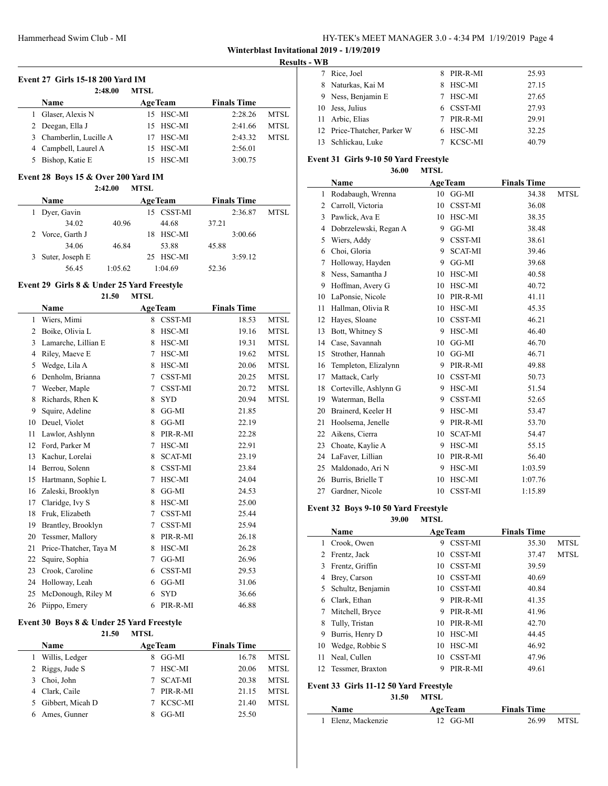| HY-TEK's MEET MANAGER 3.0 - 4:34 PM 1/19/2019 Page 4 |  |  |  |
|------------------------------------------------------|--|--|--|
|------------------------------------------------------|--|--|--|

#### **Results - WB**

 $\overline{a}$ 

| <b>Event 27 Girls 15-18 200 Yard IM</b> |                         |                |                    |             |  |  |  |
|-----------------------------------------|-------------------------|----------------|--------------------|-------------|--|--|--|
|                                         | 2:48.00                 | <b>MTSL</b>    |                    |             |  |  |  |
|                                         | <b>Name</b>             | <b>AgeTeam</b> | <b>Finals Time</b> |             |  |  |  |
|                                         | Glaser, Alexis N        | 15 HSC-MI      | 2:28.26            | <b>MTSL</b> |  |  |  |
|                                         | 2 Deegan, Ella J        | 15 HSC-MI      | 2:41.66            | <b>MTSL</b> |  |  |  |
|                                         | 3 Chamberlin, Lucille A | 17 HSC-MI      | 2:43.32            | <b>MTSL</b> |  |  |  |
|                                         | 4 Campbell, Laurel A    | 15 HSC-MI      | 2:56.01            |             |  |  |  |
|                                         | Bishop, Katie E         | HSC-MI         | 3:00.75            |             |  |  |  |

#### **Event 28 Boys 15 & Over 200 Yard IM**

**2:42.00 MTSL**

| <b>Name</b>      |         | <b>AgeTeam</b> | <b>Finals Time</b> |      |
|------------------|---------|----------------|--------------------|------|
| Dyer, Gavin      |         | 15 CSST-MI     | 2:36.87            | MTSL |
| 34.02            | 40.96   | 44.68          | 37.21              |      |
| 2 Vorce, Garth J |         | HSC-MI<br>18.  | 3:00.66            |      |
| 34.06            | 46.84   | 53.88          | 45.88              |      |
| Suter, Joseph E  |         | 25 HSC-MI      | 3:59.12            |      |
| 56.45            | 1:05.62 | 1:04.69        | 52.36              |      |

#### **Event 29 Girls 8 & Under 25 Yard Freestyle**

|    | 21.50                  | <b>MTSL</b> |                |                    |             |
|----|------------------------|-------------|----------------|--------------------|-------------|
|    | Name                   |             | <b>AgeTeam</b> | <b>Finals Time</b> |             |
| 1  | Wiers, Mimi            | 8           | <b>CSST-MI</b> | 18.53              | <b>MTSL</b> |
| 2  | Boike, Olivia L        | 8           | HSC-MI         | 19.16              | <b>MTSL</b> |
| 3  | Lamarche, Lillian E    | 8           | HSC-MI         | 19.31              | <b>MTSL</b> |
| 4  | Riley, Maeve E         | 7           | <b>HSC-MI</b>  | 19.62              | <b>MTSL</b> |
| 5  | Wedge, Lila A          | 8           | HSC-MI         | 20.06              | <b>MTSL</b> |
| 6  | Denholm, Brianna       | 7           | CSST-MI        | 20.25              | <b>MTSL</b> |
| 7  | Weeber, Maple          | 7           | CSST-MI        | 20.72              | <b>MTSL</b> |
| 8  | Richards, Rhen K       | 8           | <b>SYD</b>     | 20.94              | <b>MTSL</b> |
| 9  | Squire, Adeline        | 8           | $GG-MI$        | 21.85              |             |
| 10 | Deuel, Violet          | 8           | GG-MI          | 22.19              |             |
| 11 | Lawlor, Ashlynn        | 8           | PIR-R-MI       | 22.28              |             |
| 12 | Ford, Parker M         | 7           | HSC-MI         | 22.91              |             |
| 13 | Kachur, Lorelai        | 8           | <b>SCAT-MI</b> | 23.19              |             |
| 14 | Berrou, Solenn         | 8           | CSST-MI        | 23.84              |             |
| 15 | Hartmann, Sophie L     | 7           | HSC-MI         | 24.04              |             |
| 16 | Zaleski, Brooklyn      | 8           | GG-MI          | 24.53              |             |
| 17 | Claridge, Ivy S        | 8           | HSC-MI         | 25.00              |             |
| 18 | Fruk, Elizabeth        | 7           | <b>CSST-MI</b> | 25.44              |             |
| 19 | Brantley, Brooklyn     | 7           | CSST-MI        | 25.94              |             |
| 20 | Tessmer, Mallory       | 8           | PIR-R-MI       | 26.18              |             |
| 21 | Price-Thatcher, Taya M | 8           | HSC-MI         | 26.28              |             |
| 22 | Squire, Sophia         | 7           | GG-MI          | 26.96              |             |
| 23 | Crook, Caroline        | 6           | CSST-MI        | 29.53              |             |
| 24 | Holloway, Leah         | 6           | GG-MI          | 31.06              |             |
| 25 | McDonough, Riley M     | 6           | <b>SYD</b>     | 36.66              |             |
| 26 | Piippo, Emery          | 6           | PIR-R-MI       | 46.88              |             |

## **Event 30 Boys 8 & Under 25 Yard Freestyle**

| 21.50            | <b>MTSL</b> |                |                    |             |
|------------------|-------------|----------------|--------------------|-------------|
| <b>Name</b>      |             | <b>AgeTeam</b> | <b>Finals Time</b> |             |
| Willis, Ledger   | 8           | GG-MI          | 16.78              | <b>MTSL</b> |
| 2 Riggs, Jude S  |             | HSC-MI         | 20.06              | <b>MTSL</b> |
| Choi, John       |             | <b>SCAT-MI</b> | 20.38              | <b>MTSL</b> |
| Clark, Caile     |             | PIR-R-MI       | 21.15              | <b>MTSL</b> |
| Gibbert, Micah D |             | KCSC-MI        | 21.40              | <b>MTSL</b> |
| Ames, Gunner     | 8           | GG-MI          | 25.50              |             |

|    | 7 Rice, Joel                | 8. | PIR-R-MI   | 25.93 |
|----|-----------------------------|----|------------|-------|
|    | 8 Naturkas, Kai M           | 8  | HSC-MI     | 27.15 |
|    | 9 Ness, Benjamin E          |    | HSC-MI     | 27.65 |
| 10 | Jess, Julius                |    | 6 CSST-MI  | 27.93 |
|    | 11 Arbic, Elias             |    | 7 PIR-R-MI | 29.91 |
|    | 12 Price-Thatcher, Parker W |    | 6 HSC-MI   | 32.25 |
|    | Schlickau, Luke             |    | KCSC-MI    | 40.79 |

#### **Event 31 Girls 9-10 50 Yard Freestyle**

**36.00 MTSL**

|    | Name                  |    | <b>AgeTeam</b> | <b>Finals Time</b> |             |
|----|-----------------------|----|----------------|--------------------|-------------|
| 1  | Rodabaugh, Wrenna     | 10 | GG-MI          | 34.38              | <b>MTSL</b> |
| 2  | Carroll, Victoria     | 10 | <b>CSST-MI</b> | 36.08              |             |
| 3  | Pawlick, Ava E        | 10 | HSC-MI         | 38.35              |             |
| 4  | Dobrzelewski, Regan A | 9  | GG-MI          | 38.48              |             |
| 5  | Wiers, Addy           | 9  | CSST-MI        | 38.61              |             |
| 6  | Choi, Gloria          | 9  | <b>SCAT-MI</b> | 39.46              |             |
| 7  | Holloway, Hayden      | 9  | GG-MI          | 39.68              |             |
| 8  | Ness, Samantha J      | 10 | HSC-MI         | 40.58              |             |
| 9  | Hoffman, Avery G      | 10 | HSC-MI         | 40.72              |             |
| 10 | LaPonsie, Nicole      | 10 | PIR-R-MI       | 41.11              |             |
| 11 | Hallman, Olivia R     | 10 | HSC-MI         | 45.35              |             |
| 12 | Hayes, Sloane         | 10 | CSST-MI        | 46.21              |             |
| 13 | Bott, Whitney S       | 9  | HSC-MI         | 46.40              |             |
| 14 | Case, Savannah        | 10 | $GG-MI$        | 46.70              |             |
| 15 | Strother, Hannah      | 10 | GG-MI          | 46.71              |             |
| 16 | Templeton, Elizalynn  | 9  | PIR-R-MI       | 49.88              |             |
| 17 | Mattack, Carly        | 10 | CSST-MI        | 50.73              |             |
| 18 | Corteville, Ashlynn G | 9  | HSC-MI         | 51.54              |             |
| 19 | Waterman, Bella       | 9  | CSST-MI        | 52.65              |             |
| 20 | Brainerd, Keeler H    | 9  | HSC-MI         | 53.47              |             |
| 21 | Hoolsema, Jenelle     | 9  | PIR-R-MI       | 53.70              |             |
| 22 | Aikens, Cierra        | 10 | <b>SCAT-MI</b> | 54.47              |             |
| 23 | Choate, Kaylie A      | 9  | HSC-MI         | 55.15              |             |
| 24 | LaFaver, Lillian      | 10 | PIR-R-MI       | 56.40              |             |
| 25 | Maldonado, Ari N      | 9  | HSC-MI         | 1:03.59            |             |
| 26 | Burris, Brielle T     | 10 | HSC-MI         | 1:07.76            |             |
| 27 | Gardner, Nicole       | 10 | <b>CSST-MI</b> | 1:15.89            |             |

## **Event 32 Boys 9-10 50 Yard Freestyle**

**39.00 MTSL Name Age Team Finals Time**  Crook, Owen 9 CSST-MI 35.30 MTSL Frentz, Jack 10 CSST-MI 37.47 MTSL Frentz, Griffin 10 CSST-MI 39.59 Brey, Carson 10 CSST-MI 40.69 Schultz, Benjamin 10 CSST-MI 40.84 Clark, Ethan 9 PIR-R-MI 41.35 7 Mitchell, Bryce 9 PIR-R-MI 41.96 Tully, Tristan 10 PIR-R-MI 42.70 Burris, Henry D 10 HSC-MI 44.45 10 Wedge, Robbie S 10 HSC-MI 46.92

## **Event 33 Girls 11-12 50 Yard Freestyle**

**31.50 MTSL**

 Neal, Cullen 10 CSST-MI 47.96 12 Tessmer, Braxton 9 PIR-R-MI 49.61

| <b>Name</b>        | <b>AgeTeam</b> | <b>Finals Time</b> |            |
|--------------------|----------------|--------------------|------------|
| 1 Elenz, Mackenzie | 12 GG-MI       |                    | 26.99 MTSL |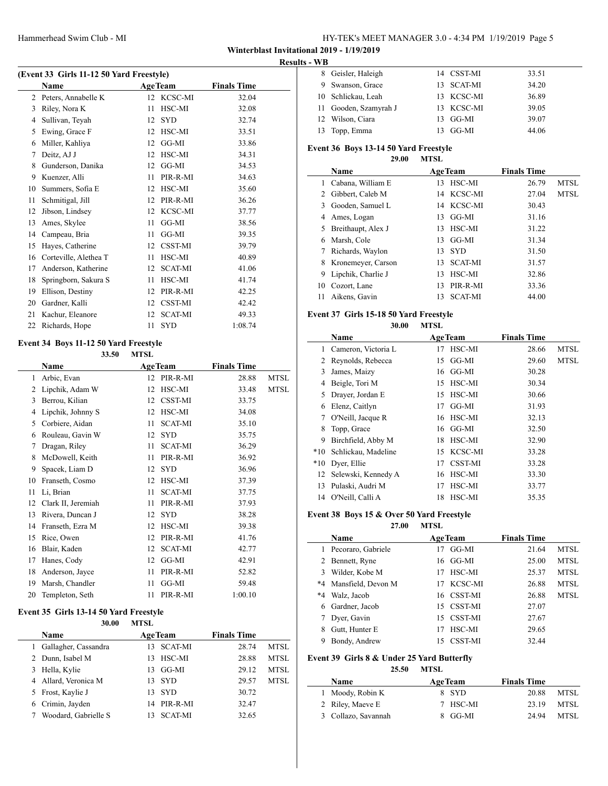## HY-TEK's MEET MANAGER 3.0 - 4:34 PM 1/19/2019 Page 5

**Winterblast Invitational 2019 - 1/19/2019**

#### **Results - WB**

| (Event 33 Girls 11-12 50 Yard Freestyle) |                       |    |                |                    |  |  |
|------------------------------------------|-----------------------|----|----------------|--------------------|--|--|
|                                          | Name                  |    | <b>AgeTeam</b> | <b>Finals Time</b> |  |  |
| 2                                        | Peters, Annabelle K   |    | 12 KCSC-MI     | 32.04              |  |  |
| 3                                        | Riley, Nora K         | 11 | HSC-MI         | 32.08              |  |  |
| 4                                        | Sullivan, Teyah       | 12 | <b>SYD</b>     | 32.74              |  |  |
| 5                                        | Ewing, Grace F        | 12 | HSC-MI         | 33.51              |  |  |
| 6                                        | Miller, Kahliya       | 12 | GG-MI          | 33.86              |  |  |
| 7                                        | Deitz, AJ J           | 12 | HSC-MI         | 34.31              |  |  |
| 8                                        | Gunderson, Danika     | 12 | $GG-MI$        | 34.53              |  |  |
| 9                                        | Kuenzer, Alli         | 11 | PIR-R-MI       | 34.63              |  |  |
| 10                                       | Summers, Sofia E      | 12 | HSC-MI         | 35.60              |  |  |
| 11                                       | Schmitigal, Jill      | 12 | PIR-R-MI       | 36.26              |  |  |
| 12                                       | Jibson, Lindsey       | 12 | KCSC-MI        | 37.77              |  |  |
| 13                                       | Ames, Skylee          | 11 | $GG-MI$        | 38.56              |  |  |
| 14                                       | Campeau, Bria         | 11 | GG-MI          | 39.35              |  |  |
| 15                                       | Hayes, Catherine      | 12 | CSST-MI        | 39.79              |  |  |
| 16                                       | Corteville, Alethea T | 11 | HSC-MI         | 40.89              |  |  |
| 17                                       | Anderson, Katherine   | 12 | <b>SCAT-MI</b> | 41.06              |  |  |
| 18                                       | Springborn, Sakura S  | 11 | HSC-MI         | 41.74              |  |  |
| 19                                       | Ellison, Destiny      | 12 | PIR-R-MI       | 42.25              |  |  |
| 20                                       | Gardner, Kalli        | 12 | CSST-MI        | 42.42              |  |  |
| 21                                       | Kachur, Eleanore      | 12 | <b>SCAT-MI</b> | 49.33              |  |  |
| 22                                       | Richards, Hope        | 11 | <b>SYD</b>     | 1:08.74            |  |  |
|                                          |                       |    |                |                    |  |  |

#### **Event 34 Boys 11-12 50 Yard Freestyle 33.50 MTSL**

|    | Name               |    | <b>AgeTeam</b> | <b>Finals Time</b> |             |
|----|--------------------|----|----------------|--------------------|-------------|
| 1  | Arbic, Evan        | 12 | PIR-R-MI       | 28.88              | <b>MTSL</b> |
| 2  | Lipchik, Adam W    | 12 | HSC-MI         | 33.48              | <b>MTSL</b> |
| 3  | Berrou, Kilian     | 12 | CSST-MI        | 33.75              |             |
| 4  | Lipchik, Johnny S  | 12 | HSC-MI         | 34.08              |             |
| 5  | Corbiere, Aidan    | 11 | <b>SCAT-MI</b> | 35.10              |             |
| 6  | Rouleau, Gavin W   | 12 | <b>SYD</b>     | 35.75              |             |
| 7  | Dragan, Riley      | 11 | <b>SCAT-MI</b> | 36.29              |             |
| 8  | McDowell, Keith    | 11 | PIR-R-MI       | 36.92              |             |
| 9  | Spacek, Liam D     | 12 | <b>SYD</b>     | 36.96              |             |
| 10 | Franseth, Cosmo    | 12 | HSC-MI         | 37.39              |             |
| 11 | Li, Brian          | 11 | <b>SCAT-MI</b> | 37.75              |             |
| 12 | Clark II, Jeremiah | 11 | PIR-R-MI       | 37.93              |             |
| 13 | Rivera, Duncan J   | 12 | <b>SYD</b>     | 38.28              |             |
| 14 | Franseth, Ezra M   | 12 | HSC-MI         | 39.38              |             |
| 15 | Rice, Owen         | 12 | PIR-R-MI       | 41.76              |             |
| 16 | Blair, Kaden       | 12 | <b>SCAT-MI</b> | 42.77              |             |
| 17 | Hanes, Cody        | 12 | GG-MI          | 42.91              |             |
| 18 | Anderson, Jayce    | 11 | PIR-R-MI       | 52.82              |             |
| 19 | Marsh, Chandler    | 11 | GG-MI          | 59.48              |             |
| 20 | Templeton, Seth    | 11 | PIR-R-MI       | 1:00.10            |             |

#### **Event 35 Girls 13-14 50 Yard Freestyle**

| 30.00                | <b>MTSL</b> |                |                    |             |
|----------------------|-------------|----------------|--------------------|-------------|
| <b>Name</b>          |             | <b>AgeTeam</b> | <b>Finals Time</b> |             |
| Gallagher, Cassandra | 13          | <b>SCAT-MI</b> | 28.74              | <b>MTSL</b> |
| Dunn, Isabel M       | 13          | HSC-MI         | 28.88              | <b>MTSL</b> |
| Hella, Kylie         | 13          | GG-MI          | 29.12              | <b>MTSL</b> |
| 4 Allard, Veronica M | 13          | <b>SYD</b>     | 29.57              | <b>MTSL</b> |
| 5 Frost, Kaylie J    | 13          | <b>SYD</b>     | 30.72              |             |
| Crimin, Jayden       |             | 14 PIR-R-MI    | 32.47              |             |
| Woodard, Gabrielle S |             | <b>SCAT-MI</b> | 32.65              |             |

| 8 Geisler, Haleigh    | 14 CSST-MI | 33.51 |
|-----------------------|------------|-------|
| 9 Swanson, Grace      | 13 SCAT-MI | 34.20 |
| 10 Schlickau, Leah    | 13 KCSC-MI | 36.89 |
| 11 Gooden, Szamyrah J | 13 KCSC-MI | 39.05 |
| 12 Wilson, Ciara      | 13 GG-MI   | 39.07 |
| 13 Topp, Emma         | 13 GG-MI   | 44.06 |

# **Event 36 Boys 13-14 50 Yard Freestyle**

| 29.00 | MTSL |
|-------|------|
|       |      |

|    | Name                 |    | <b>AgeTeam</b> | <b>Finals Time</b> |             |
|----|----------------------|----|----------------|--------------------|-------------|
|    | Cabana, William E    | 13 | HSC-MI         | 26.79              | MTSL        |
| 2  | Gibbert, Caleb M     | 14 | KCSC-MI        | 27.04              | <b>MTSL</b> |
| 3  | Gooden, Samuel L     |    | 14 KCSC-MI     | 30.43              |             |
| 4  | Ames, Logan          | 13 | GG-MI          | 31.16              |             |
|    | 5 Breithaupt, Alex J | 13 | HSC-MI         | 31.22              |             |
| 6  | Marsh, Cole          | 13 | GG-MI          | 31.34              |             |
|    | Richards, Waylon     | 13 | <b>SYD</b>     | 31.50              |             |
| 8  | Kronemeyer, Carson   | 13 | <b>SCAT-MI</b> | 31.57              |             |
| 9  | Lipchik, Charlie J   | 13 | HSC-MI         | 32.86              |             |
| 10 | Cozort, Lane         | 13 | PIR-R-MI       | 33.36              |             |
| 11 | Aikens, Gavin        | 13 | <b>SCAT-MI</b> | 44.00              |             |

#### **Event 37 Girls 15-18 50 Yard Freestyle**

|       | 30.00               | <b>MTSL</b> |                |                    |             |
|-------|---------------------|-------------|----------------|--------------------|-------------|
|       | Name                |             | <b>AgeTeam</b> | <b>Finals Time</b> |             |
| 1     | Cameron, Victoria L | 17          | HSC-MI         | 28.66              | <b>MTSL</b> |
| 2     | Reynolds, Rebecca   | 15          | GG-MI          | 29.60              | <b>MTSL</b> |
| 3     | James, Maizy        |             | $16$ GG-MI     | 30.28              |             |
| 4     | Beigle, Tori M      | 15          | HSC-MI         | 30.34              |             |
| 5     | Drayer, Jordan E    | 15          | HSC-MI         | 30.66              |             |
| 6     | Elenz, Caitlyn      | 17          | GG-MI          | 31.93              |             |
| 7     | O'Neill, Jacque R   | 16          | HSC-MI         | 32.13              |             |
| 8     | Topp, Grace         | 16          | GG-MI          | 32.50              |             |
| 9     | Birchfield, Abby M  | 18          | HSC-MI         | 32.90              |             |
| $*10$ | Schlickau, Madeline | 15          | KCSC-MI        | 33.28              |             |
| $*10$ | Dyer, Ellie         | 17          | CSST-MI        | 33.28              |             |
| 12    | Selewski, Kennedy A | 16          | HSC-MI         | 33.30              |             |
| 13    | Pulaski, Audri M    | 17          | HSC-MI         | 33.77              |             |
| 14    | O'Neill, Calli A    | 18          | HSC-MI         | 35.35              |             |

#### **Event 38 Boys 15 & Over 50 Yard Freestyle**

 $\overline{\phantom{0}}$ 

**27.00 MTSL**

|      | Name                  | <b>AgeTeam</b> | <b>Finals Time</b> |             |
|------|-----------------------|----------------|--------------------|-------------|
|      | Pecoraro, Gabriele    | $G$ -MI<br>17  | 21.64              | MTSL        |
| 2    | Bennett, Ryne         | GG-MI<br>16    | 25.00              | <b>MTSL</b> |
| 3    | Wilder, Kobe M        | HSC-MI<br>17   | 25.37              | <b>MTSL</b> |
|      | *4 Mansfield, Devon M | KCSC-MI<br>17  | 26.88              | <b>MTSL</b> |
| $*4$ | Walz, Jacob           | 16 CSST-MI     | 26.88              | <b>MTSL</b> |
| 6    | Gardner, Jacob        | 15 CSST-MI     | 27.07              |             |
|      | Dyer, Gavin           | 15 CSST-MI     | 27.67              |             |
|      | Gutt, Hunter E        | HSC-MI<br>17   | 29.65              |             |
|      | Bondy, Andrew         | CSST-MI<br>15  | 32.44              |             |

#### **Event 39 Girls 8 & Under 25 Yard Butterfly**

| 25.50               | <b>MTSL</b>    |                    |             |
|---------------------|----------------|--------------------|-------------|
| <b>Name</b>         | <b>AgeTeam</b> | <b>Finals Time</b> |             |
| 1 Moody, Robin K    | 8 SYD          | 20.88              | MTSL        |
| 2 Riley, Maeve E    | 7 HSC-MI       | 23.19              | MTSL        |
| 3 Collazo, Savannah | GG-MI          | 24 94              | <b>MTSL</b> |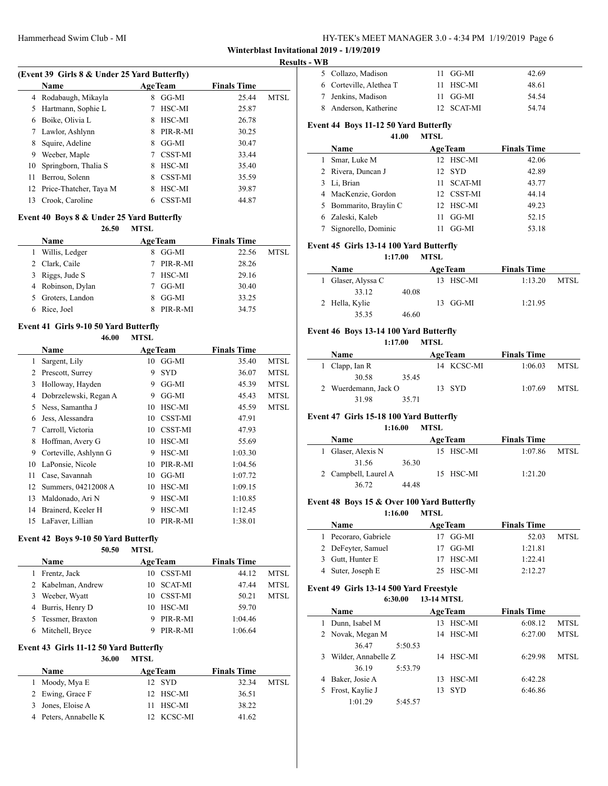| HY-TEK's MEET MANAGER 3.0 - 4:34 PM 1/19/2019 Page 6 |  |  |  |  |  |  |
|------------------------------------------------------|--|--|--|--|--|--|
|------------------------------------------------------|--|--|--|--|--|--|

## **Results - WB**

|    |                                              |                |                |                    | res         |  |  |  |
|----|----------------------------------------------|----------------|----------------|--------------------|-------------|--|--|--|
|    | (Event 39 Girls 8 & Under 25 Yard Butterfly) |                |                |                    |             |  |  |  |
|    | <b>Name</b>                                  | <b>AgeTeam</b> |                | <b>Finals Time</b> |             |  |  |  |
|    | 4 Rodabaugh, Mikayla                         | 8              | GG-MI          | 25.44              | <b>MTSL</b> |  |  |  |
| 5  | Hartmann, Sophie L                           |                | HSC-MI         | 25.87              |             |  |  |  |
| 6  | Boike, Olivia L                              | 8              | HSC-MI         | 26.78              |             |  |  |  |
| 7  | Lawlor, Ashlynn                              | 8              | PIR-R-MI       | 30.25              |             |  |  |  |
| 8  | Squire, Adeline                              | 8              | GG-MI          | 30.47              |             |  |  |  |
| 9  | Weeber, Maple                                | 7              | <b>CSST-MI</b> | 33.44              |             |  |  |  |
| 10 | Springborn, Thalia S                         | 8              | HSC-MI         | 35.40              |             |  |  |  |
| 11 | Berrou, Solenn                               | 8              | <b>CSST-MI</b> | 35.59              |             |  |  |  |
| 12 | Price-Thatcher, Taya M                       | 8              | HSC-MI         | 39.87              |             |  |  |  |
| 13 | Crook, Caroline                              | 6              | <b>CSST-MI</b> | 44.87              |             |  |  |  |
|    |                                              |                |                |                    |             |  |  |  |

## **Event 40 Boys 8 & Under 25 Yard Butterfly**

| 26.50             | <b>MTSL</b> |          |                    |      |
|-------------------|-------------|----------|--------------------|------|
| <b>Name</b>       |             |          | <b>Finals Time</b> |      |
| Willis, Ledger    |             | GG-MI    | 22.56              | MTSL |
| 2 Clark, Caile    |             | PIR-R-MI | 28.26              |      |
| 3 Riggs, Jude S   | 7           | HSC-MI   | 29.16              |      |
| 4 Robinson, Dylan |             | GG-MI    | 30.40              |      |
| 5 Groters, Landon |             | GG-MI    | 33.25              |      |
| Rice, Joel        |             | PIR-R-MI | 34.75              |      |
|                   |             |          | <b>AgeTeam</b>     |      |

#### **Event 41 Girls 9-10 50 Yard Butterfly**

#### **46.00 MTSL**

|    | Name                  |    | <b>AgeTeam</b> | <b>Finals Time</b> |             |
|----|-----------------------|----|----------------|--------------------|-------------|
| 1  | Sargent, Lily         | 10 | GG-MI          | 35.40              | <b>MTSL</b> |
| 2  | Prescott, Surrey      | 9  | <b>SYD</b>     | 36.07              | <b>MTSL</b> |
| 3  | Holloway, Hayden      | 9  | GG-MI          | 45.39              | <b>MTSL</b> |
| 4  | Dobrzelewski, Regan A | 9  | GG-MI          | 45.43              | <b>MTSL</b> |
| 5  | Ness, Samantha J      | 10 | HSC-MI         | 45.59              | <b>MTSL</b> |
| 6  | Jess, Alessandra      | 10 | CSST-MI        | 47.91              |             |
| 7  | Carroll, Victoria     | 10 | <b>CSST-MI</b> | 47.93              |             |
| 8  | Hoffman, Avery G      | 10 | HSC-MI         | 55.69              |             |
| 9  | Corteville, Ashlynn G | 9  | HSC-MI         | 1:03.30            |             |
| 10 | LaPonsie, Nicole      | 10 | PIR-R-MI       | 1:04.56            |             |
| 11 | Case, Savannah        | 10 | GG-MI          | 1:07.72            |             |
| 12 | Summers, 04212008 A   | 10 | HSC-MI         | 1:09.15            |             |
| 13 | Maldonado, Ari N      | 9  | HSC-MI         | 1:10.85            |             |
| 14 | Brainerd, Keeler H    | 9  | HSC-MI         | 1:12.45            |             |
| 15 | LaFaver, Lillian      | 10 | PIR-R-MI       | 1:38.01            |             |

#### **Event 42 Boys 9-10 50 Yard Butterfly**

#### **50.50 MTSL**

|   | <b>Name</b>        |    | <b>AgeTeam</b> | <b>Finals Time</b> |             |
|---|--------------------|----|----------------|--------------------|-------------|
| 1 | Frentz, Jack       |    | 10 CSST-MI     | 44.12              | <b>MTSL</b> |
|   | 2 Kabelman, Andrew |    | 10 SCAT-MI     | 47.44              | <b>MTSL</b> |
|   | 3 Weeber, Wyatt    | 10 | CSST-MI        | 50.21              | <b>MTSL</b> |
|   | 4 Burris, Henry D  |    | 10 HSC-MI      | 59.70              |             |
|   | 5 Tessmer, Braxton |    | PIR-R-MI       | 1:04.46            |             |
|   | 6 Mitchell, Bryce  |    | PIR-R-MI       | 1:06.64            |             |

#### **Event 43 Girls 11-12 50 Yard Butterfly**

#### **36.00 MTSL**

| <b>Name</b>           | <b>AgeTeam</b> | <b>Finals Time</b> |      |
|-----------------------|----------------|--------------------|------|
| 1 Moody, Mya E        | 12 SYD         | 32.34              | MTSL |
| 2 Ewing, Grace F      | 12 HSC-MI      | 36.51              |      |
| 3 Jones, Eloise A     | 11 HSC-MI      | 38.22              |      |
| 4 Peters, Annabelle K | 12 KCSC-MI     | 41.62              |      |

| 5 Collazo, Madison      | 11 GG-MI   | 42.69 |  |
|-------------------------|------------|-------|--|
| 6 Corteville, Alethea T | 11 HSC-MI  | 48.61 |  |
| 7 Jenkins, Madison      | 11 GG-MI   | 54.54 |  |
| 8 Anderson, Katherine   | 12 SCAT-MI | 54 74 |  |

#### **Event 44 Boys 11-12 50 Yard Butterfly**

# **41.00 MTSL**

|   | Name                   |     | <b>AgeTeam</b> | <b>Finals Time</b> |  |
|---|------------------------|-----|----------------|--------------------|--|
| L | Smar, Luke M           |     | 12 HSC-MI      | 42.06              |  |
|   | 2 Rivera, Duncan J     |     | 12 SYD         | 42.89              |  |
|   | 3 Li, Brian            | 11. | SCAT-MI        | 43.77              |  |
|   | 4 MacKenzie, Gordon    |     | 12 CSST-MI     | 44.14              |  |
|   | 5 Bommarito, Braylin C |     | 12 HSC-MI      | 49.23              |  |
|   | 6 Zaleski, Kaleb       | 11  | GG-MI          | 52.15              |  |
|   | 7 Signorello, Dominic  |     | GG-MI          | 53.18              |  |
|   |                        |     |                |                    |  |

#### **Event 45 Girls 13-14 100 Yard Butterfly**

#### **1:17.00 MTSL**

| <b>Name</b>        |       | <b>AgeTeam</b> | <b>Finals Time</b> |      |
|--------------------|-------|----------------|--------------------|------|
| 1 Glaser, Alyssa C |       | 13 HSC-MI      | 1:13.20            | MTSL |
| 33.12              | 40.08 |                |                    |      |
| 2 Hella, Kylie     |       | 13 GG-MI       | 1:21.95            |      |
| 35.35              | 46.60 |                |                    |      |

## **Event 46 Boys 13-14 100 Yard Butterfly**

#### **1:17.00 MTSL**

| <b>Name</b>          |       | <b>AgeTeam</b> | <b>Finals Time</b> |      |  |
|----------------------|-------|----------------|--------------------|------|--|
| 1 Clapp, Ian R       |       | 14 KCSC-MI     | 1:06.03            | MTSL |  |
| 30.58                | 35.45 |                |                    |      |  |
| 2 Wuerdemann, Jack O |       | 13 SYD         | 1:07.69            | MTSL |  |
| 31.98                | 35.71 |                |                    |      |  |

## **Event 47 Girls 15-18 100 Yard Butterfly**

#### **1:16.00 MTSL**

| <b>Name</b>          |       | <b>AgeTeam</b> |           | <b>Finals Time</b> |      |
|----------------------|-------|----------------|-----------|--------------------|------|
| 1 Glaser, Alexis N   |       |                | 15 HSC-MI | 1:07.86            | MTSL |
| 31.56                | 36.30 |                |           |                    |      |
| 2 Campbell, Laurel A |       |                | 15 HSC-MI | 1:21.20            |      |
| 36.72                | 44 48 |                |           |                    |      |

## **Event 48 Boys 15 & Over 100 Yard Butterfly**

#### **1:16.00 MTSL**

| <b>Name</b>          |  | <b>AgeTeam</b> | <b>Finals Time</b> |      |
|----------------------|--|----------------|--------------------|------|
| 1 Pecoraro, Gabriele |  | 17 GG-MI       | 52.03              | MTSL |
| 2 DeFeyter, Samuel   |  | 17 GG-MI       | 1:21.81            |      |
| 3 Gutt, Hunter E     |  | 17 HSC-MI      | 1:22.41            |      |
| 4 Suter, Joseph E    |  | 25 HSC-MI      | 2:12.27            |      |

#### **Event 49 Girls 13-14 500 Yard Freestyle 6:30.00 13-14 MTSL**

| <br>--------- |                     |         |     |                |                    |      |  |
|---------------|---------------------|---------|-----|----------------|--------------------|------|--|
|               | <b>Name</b>         |         |     | <b>AgeTeam</b> | <b>Finals Time</b> |      |  |
|               | Dunn, Isabel M      |         | 13. | HSC-MI         | 6:08.12            | MTSL |  |
|               | 2 Novak, Megan M    |         |     | 14 HSC-MI      | 6:27.00            | MTSL |  |
|               | 36.47               | 5:50.53 |     |                |                    |      |  |
| 3             | Wilder, Annabelle Z |         |     | 14 HSC-MI      | 6:29.98            | MTSL |  |
|               | 36.19               | 5:53.79 |     |                |                    |      |  |
| 4             | Baker, Josie A      |         | 13. | HSC-MI         | 6:42.28            |      |  |
| 5             | Frost, Kaylie J     |         | 13  | -SYD           | 6:46.86            |      |  |
|               | 1:01.29             | 5:45.57 |     |                |                    |      |  |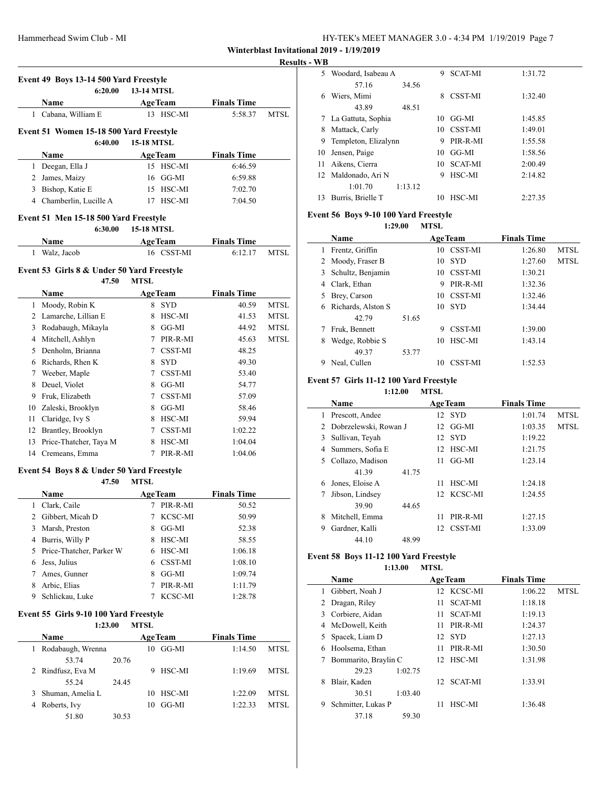| HY-TEK's MEET MANAGER 3.0 - 4:34 PM 1/19/2019 Page 7 |  |
|------------------------------------------------------|--|
|------------------------------------------------------|--|

#### **ks** - WB

|              |                                                    |                   |                            |                    | Result |
|--------------|----------------------------------------------------|-------------------|----------------------------|--------------------|--------|
|              | Event 49 Boys 13-14 500 Yard Freestyle             |                   |                            |                    |        |
|              | 6:20.00                                            | <b>13-14 MTSL</b> |                            |                    |        |
|              | Name                                               | <b>AgeTeam</b>    |                            | <b>Finals Time</b> |        |
|              | 1 Cabana, William E                                |                   | 13 HSC-MI                  | 5:58.37            | MTSL   |
|              |                                                    |                   |                            |                    |        |
|              | Event 51 Women 15-18 500 Yard Freestyle<br>6:40.00 | <b>15-18 MTSL</b> |                            |                    |        |
|              |                                                    |                   |                            |                    |        |
|              | Name                                               | <b>AgeTeam</b>    |                            | <b>Finals Time</b> |        |
| $\mathbf{1}$ | Deegan, Ella J                                     |                   | 15 HSC-MI                  | 6:46.59            |        |
|              | 2 James, Maizy                                     |                   | $16$ GG-MI                 | 6:59.88            |        |
|              | 3 Bishop, Katie E                                  |                   | 15 HSC-MI                  | 7:02.70            |        |
|              | 4 Chamberlin, Lucille A                            |                   | 17 HSC-MI                  | 7:04.50            |        |
|              | Event 51 Men 15-18 500 Yard Freestyle              |                   |                            |                    |        |
|              | 6:30.00                                            | <b>15-18 MTSL</b> |                            |                    |        |
|              | Name                                               | <b>AgeTeam</b>    |                            | <b>Finals Time</b> |        |
| $\mathbf{1}$ | Walz, Jacob                                        |                   | 16 CSST-MI                 | 6:12.17            | MTSL   |
|              | Event 53 Girls 8 & Under 50 Yard Freestyle         |                   |                            |                    |        |
|              | 47.50                                              | <b>MTSL</b>       |                            |                    |        |
|              | Name                                               |                   | <b>AgeTeam</b>             | <b>Finals Time</b> |        |
| 1            | Moody, Robin K                                     |                   | 8 SYD                      | 40.59              | MTSL   |
|              | 2 Lamarche, Lillian E                              | 8                 | HSC-MI                     | 41.53              | MTSL   |
|              | 3 Rodabaugh, Mikayla                               | 8                 | GG-MI                      | 44.92              | MTSL   |
|              | 4 Mitchell, Ashlyn                                 | 7                 | PIR-R-MI                   | 45.63              | MTSL   |
|              | 5 Denholm, Brianna                                 |                   | 7 CSST-MI                  | 48.25              |        |
|              | 6 Richards, Rhen K                                 |                   | 8 SYD                      | 49.30              |        |
|              | 7 Weeber, Maple                                    |                   | 7 CSST-MI                  | 53.40              |        |
|              | 8 Deuel, Violet                                    |                   | 8 GG-MI                    | 54.77              |        |
|              | 9 Fruk, Elizabeth                                  |                   | 7 CSST-MI                  | 57.09              |        |
|              | 10 Zaleski, Brooklyn                               |                   | 8 GG-MI                    | 58.46              |        |
|              | 11 Claridge, Ivy S                                 |                   | 8 HSC-MI                   | 59.94              |        |
|              | 12 Brantley, Brooklyn                              | $\tau$            | CSST-MI                    | 1:02.22            |        |
|              | 13 Price-Thatcher, Taya M                          |                   | 8 HSC-MI                   | 1:04.04            |        |
|              | 14 Cremeans, Emma                                  | 7                 | PIR-R-MI                   | 1:04.06            |        |
|              |                                                    |                   |                            |                    |        |
|              | Event 54 Boys 8 & Under 50 Yard Freestyle<br>47.50 |                   |                            |                    |        |
|              |                                                    | <b>MTSL</b>       |                            |                    |        |
|              | Name                                               |                   | <b>AgeTeam</b><br>PIR-R-MI | <b>Finals Time</b> |        |
| 1<br>2       | Clark, Caile                                       | 7.<br>7           |                            | 50.52              |        |
| 3            | Gibbert, Micah D<br>Marsh, Preston                 | 8                 | KCSC-MI<br>GG-MI           | 50.99              |        |
|              |                                                    |                   |                            | 52.38              |        |
|              | 4 Burris, Willy P                                  | 8                 | HSC-MI                     | 58.55              |        |
| 5            | Price-Thatcher, Parker W                           | 6                 | HSC-MI                     | 1:06.18            |        |
| 6            | Jess, Julius                                       | 6<br>8            | CSST-MI                    | 1:08.10            |        |
| 7            | Ames, Gunner                                       |                   | GG-MI                      | 1:09.74            |        |
| 8            | Arbic, Elias                                       | 7                 | PIR-R-MI                   | 1:11.79            |        |
| 9            | Schlickau, Luke                                    | 7                 | KCSC-MI                    | 1:28.78            |        |

## **Event 55 Girls 9-10 100 Yard Freestyle**

## **1:23.00 MTSL**

|   | <b>Name</b>        |       |    | <b>AgeTeam</b> | <b>Finals Time</b> |      |  |
|---|--------------------|-------|----|----------------|--------------------|------|--|
|   | Rodabaugh, Wrenna  |       | 10 | GG-MI          | 1:14.50            | MTSL |  |
|   | 53.74              | 20.76 |    |                |                    |      |  |
|   | 2 Rindfusz, Eva M  |       | 9  | HSC-MI         | 1:19.69            | MTSL |  |
|   | 55.24              | 24.45 |    |                |                    |      |  |
|   | 3 Shuman, Amelia L |       | 10 | HSC-MI         | 1:22.09            | MTSL |  |
| 4 | Roberts, Ivy       |       | 10 | GG-MI          | 1:22.33            | MTSL |  |
|   | 51.80              | 30.53 |    |                |                    |      |  |

| 11 IJ |                      |         |    |                |         |
|-------|----------------------|---------|----|----------------|---------|
| 5     | Woodard, Isabeau A   |         | 9  | <b>SCAT-MI</b> | 1:31.72 |
|       | 57.16                | 34.56   |    |                |         |
| 6     | Wiers, Mimi          |         | 8  | <b>CSST-MI</b> | 1:32.40 |
|       | 43.89                | 48.51   |    |                |         |
|       | La Gattuta, Sophia   |         | 10 | GG-MI          | 1:45.85 |
| 8     | Mattack, Carly       |         | 10 | <b>CSST-MI</b> | 1:49.01 |
| 9     | Templeton, Elizalynn |         | 9  | PIR-R-MI       | 1:55.58 |
| 10    | Jensen, Paige        |         | 10 | GG-MI          | 1:58.56 |
| 11    | Aikens, Cierra       |         | 10 | <b>SCAT-MI</b> | 2:00.49 |
| 12    | Maldonado, Ari N     |         | 9  | HSC-MI         | 2:14.82 |
|       | 1:01.70              | 1:13.12 |    |                |         |
| 13    | Burris, Brielle T    |         | 10 | HSC-MI         | 2:27.35 |

## **Event 56 Boys 9-10 100 Yard Freestyle**

#### **1:29.00 MTSL**

| <b>Name</b> |                    |       |    | <b>AgeTeam</b> | <b>Finals Time</b> |      |
|-------------|--------------------|-------|----|----------------|--------------------|------|
| 1           | Frentz, Griffin    |       | 10 | <b>CSST-MI</b> | 1:26.80            | MTSL |
|             | 2 Moody, Fraser B  |       | 10 | <b>SYD</b>     | 1:27.60            | MTSL |
| 3           | Schultz, Benjamin  |       | 10 | <b>CSST-MI</b> | 1:30.21            |      |
| 4           | Clark, Ethan       |       | 9  | PIR-R-MI       | 1:32.36            |      |
| 5           | Brey, Carson       |       | 10 | CSST-MI        | 1:32.46            |      |
| 6           | Richards, Alston S |       | 10 | <b>SYD</b>     | 1:34.44            |      |
|             | 42.79              | 51.65 |    |                |                    |      |
|             | Fruk, Bennett      |       | 9  | <b>CSST-MI</b> | 1:39.00            |      |
| 8           | Wedge, Robbie S    |       | 10 | HSC-MI         | 1:43.14            |      |
|             | 49.37              | 53.77 |    |                |                    |      |
| 9           | Neal, Cullen       |       | 10 | <b>CSST-MI</b> | 1:52.53            |      |

## **Event 57 Girls 11-12 100 Yard Freestyle**

**1:12.00 MTSL**

|    | <b>Name</b>             |       |     | <b>AgeTeam</b> | <b>Finals Time</b> |             |
|----|-------------------------|-------|-----|----------------|--------------------|-------------|
| 1. | Prescott, Andee         |       |     | 12 SYD         | 1:01.74            | MTSL        |
|    | 2 Dobrzelewski, Rowan J |       |     | 12 GG-MI       | 1:03.35            | <b>MTSL</b> |
| 3  | Sullivan, Teyah         |       |     | 12 SYD         | 1:19.22            |             |
| 4  | Summers, Sofia E        |       | 12. | HSC-MI         | 1:21.75            |             |
|    | 5 Collazo, Madison      |       | 11  | GG-MI          | 1:23.14            |             |
|    | 41.39                   | 41.75 |     |                |                    |             |
| 6  | Jones, Eloise A         |       | 11  | HSC-MI         | 1:24.18            |             |
|    | Jibson, Lindsey         |       |     | 12 KCSC-MI     | 1:24.55            |             |
|    | 39.90                   | 44.65 |     |                |                    |             |
| 8  | Mitchell, Emma          |       | 11  | PIR-R-MI       | 1:27.15            |             |
| 9  | Gardner, Kalli          |       |     | 12 CSST-MI     | 1:33.09            |             |
|    | 44.10                   | 48.99 |     |                |                    |             |
|    |                         |       |     |                |                    |             |

## **Event 58 Boys 11-12 100 Yard Freestyle**

## **1:13.00 MTSL**

|   | Name                 |         |     | <b>AgeTeam</b> | <b>Finals Time</b> |             |
|---|----------------------|---------|-----|----------------|--------------------|-------------|
| 1 | Gibbert, Noah J      |         |     | 12 KCSC-MI     | 1:06.22            | <b>MTSL</b> |
|   | Dragan, Riley        |         | 11  | <b>SCAT-MI</b> | 1:18.18            |             |
| 3 | Corbiere, Aidan      |         | 11  | <b>SCAT-MI</b> | 1:19.13            |             |
| 4 | McDowell, Keith      |         | 11  | PIR-R-MI       | 1:24.37            |             |
|   | 5 Spacek, Liam D     |         | 12  | – SYD          | 1:27.13            |             |
| 6 | Hoolsema, Ethan      |         | 11  | PIR-R-MI       | 1:30.50            |             |
|   | Bommarito, Braylin C |         |     | 12 HSC-MI      | 1:31.98            |             |
|   | 29.23                | 1:02.75 |     |                |                    |             |
| 8 | Blair, Kaden         |         | 12. | <b>SCAT-MI</b> | 1:33.91            |             |
|   | 30.51                | 1:03.40 |     |                |                    |             |
| 9 | Schmitter, Lukas P   |         | 11  | HSC-MI         | 1:36.48            |             |
|   | 37.18                | 59.30   |     |                |                    |             |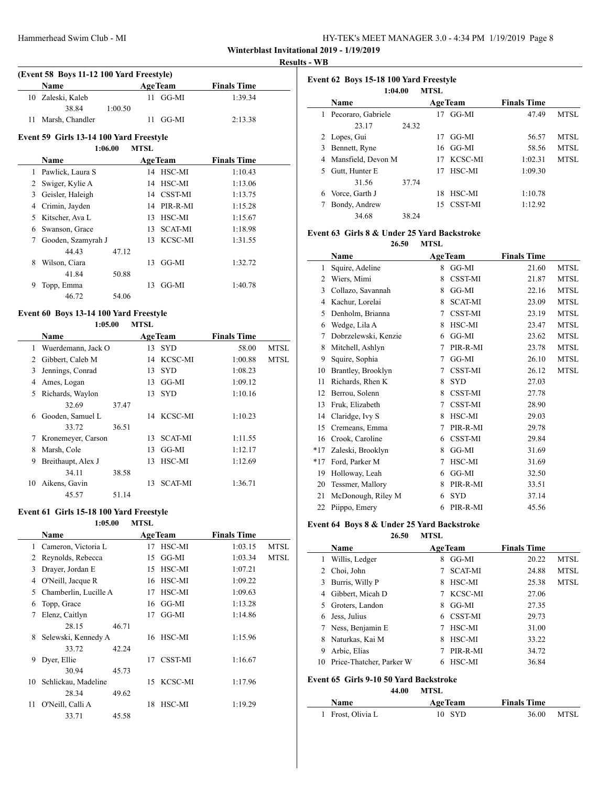| HY-TEK's MEET MANAGER 3.0 - 4:34 PM 1/19/2019 Page 8 |  |  |  |
|------------------------------------------------------|--|--|--|
|------------------------------------------------------|--|--|--|

#### **Results - WB**

|    | (Event 58 Boys 11-12 100 Yard Freestyle) |         |             |                |                    |
|----|------------------------------------------|---------|-------------|----------------|--------------------|
|    | Name                                     |         |             | <b>AgeTeam</b> | <b>Finals Time</b> |
| 10 | Zaleski, Kaleb                           |         |             | $11$ GG-MI     | 1:39.34            |
|    | 38.84                                    | 1:00.50 |             |                |                    |
| 11 | Marsh, Chandler                          |         | 11          | $GG-MI$        | 2:13.38            |
|    | Event 59 Girls 13-14 100 Yard Freestyle  |         |             |                |                    |
|    |                                          | 1:06.00 | <b>MTSL</b> |                |                    |
|    | <b>Name</b>                              |         |             | <b>AgeTeam</b> | <b>Finals Time</b> |
| 1  | Pawlick, Laura S                         |         |             | 14 HSC-MI      | 1:10.43            |
| 2  | Swiger, Kylie A                          |         | 14          | HSC-MI         | 1:13.06            |
| 3  | Geisler, Haleigh                         |         |             | 14 CSST-MI     | 1:13.75            |
| 4  | Crimin, Jayden                           |         | 14          | PIR-R-MI       | 1:15.28            |
| 5  | Kitscher, Ava L                          |         | 13          | HSC-MI         | 1:15.67            |
| 6  | Swanson, Grace                           |         | 13          | <b>SCAT-MI</b> | 1:18.98            |
| 7  | Gooden, Szamyrah J                       |         | 13          | KCSC-MI        | 1:31.55            |
|    | 44 43                                    | 47.12   |             |                |                    |
| 8  | Wilson, Ciara                            |         | 13          | $GG-MI$        | 1:32.72            |
|    | 41.84                                    | 50.88   |             |                |                    |
| 9  | Topp, Emma                               |         | 13          | GG-MI          | 1:40.78            |
|    |                                          |         |             |                |                    |

#### **Event 60 Boys 13-14 100 Yard Freestyle 1:05.00 MTSL**

|    | <b>Name</b>        |       |    | <b>AgeTeam</b> | <b>Finals Time</b> |             |
|----|--------------------|-------|----|----------------|--------------------|-------------|
| 1  | Wuerdemann, Jack O |       | 13 | <b>SYD</b>     | 58.00              | <b>MTSL</b> |
|    | Gibbert, Caleb M   |       |    | 14 KCSC-MI     | 1:00.88            | <b>MTSL</b> |
| 3  | Jennings, Conrad   |       | 13 | <b>SYD</b>     | 1:08.23            |             |
| 4  | Ames, Logan        |       | 13 | GG-MI          | 1:09.12            |             |
| 5. | Richards, Waylon   |       |    | 13 SYD         | 1:10.16            |             |
|    | 32.69              | 37.47 |    |                |                    |             |
| 6  | Gooden, Samuel L   |       |    | 14 KCSC-MI     | 1:10.23            |             |
|    | 33.72              | 36.51 |    |                |                    |             |
| 7  | Kronemeyer, Carson |       | 13 | <b>SCAT-MI</b> | 1:11.55            |             |
| 8  | Marsh, Cole        |       | 13 | GG-MI          | 1:12.17            |             |
| 9  | Breithaupt, Alex J |       | 13 | HSC-MI         | 1:12.69            |             |
|    | 34.11              | 38.58 |    |                |                    |             |
| 10 | Aikens, Gavin      |       | 13 | <b>SCAT-MI</b> | 1:36.71            |             |
|    | 45.57              | 51.14 |    |                |                    |             |

## **Event 61 Girls 15-18 100 Yard Freestyle**

#### **1:05.00 MTSL**

|    | Name                  |       |    | <b>AgeTeam</b> | <b>Finals Time</b> |             |
|----|-----------------------|-------|----|----------------|--------------------|-------------|
| 1  | Cameron, Victoria L   |       | 17 | HSC-MI         | 1:03.15            | <b>MTSL</b> |
| 2  | Reynolds, Rebecca     |       | 15 | GG-MI          | 1:03.34            | <b>MTSL</b> |
| 3  | Drayer, Jordan E      |       | 15 | HSC-MI         | 1:07.21            |             |
| 4  | O'Neill, Jacque R     |       | 16 | HSC-MI         | 1:09.22            |             |
| 5  | Chamberlin, Lucille A |       | 17 | HSC-MI         | 1:09.63            |             |
| 6  | Topp, Grace           |       | 16 | GG-MI          | 1:13.28            |             |
| 7  | Elenz, Caitlyn        |       | 17 | GG-MI          | 1:14.86            |             |
|    | 28.15                 | 46.71 |    |                |                    |             |
| 8  | Selewski, Kennedy A   |       | 16 | HSC-MI         | 1:15.96            |             |
|    | 33.72                 | 42.24 |    |                |                    |             |
| 9  | Dyer, Ellie           |       | 17 | CSST-MI        | 1:16.67            |             |
|    | 30.94                 | 45.73 |    |                |                    |             |
| 10 | Schlickau, Madeline   |       | 15 | KCSC-MI        | 1:17.96            |             |
|    | 28.34                 | 49.62 |    |                |                    |             |
| 11 | O'Neill, Calli A      |       | 18 | HSC-MI         | 1:19.29            |             |
|    | 33.71                 | 45.58 |    |                |                    |             |

|              | Event 62 Boys 15-18 100 Yard Freestyle<br><b>MTSL</b><br>1:04.00 |       |    |                |                    |      |  |  |  |
|--------------|------------------------------------------------------------------|-------|----|----------------|--------------------|------|--|--|--|
|              | <b>Name</b>                                                      |       |    | <b>AgeTeam</b> | <b>Finals Time</b> |      |  |  |  |
| $\mathbf{1}$ | Pecoraro, Gabriele                                               |       | 17 | GG-MI          | 47.49              | MTSL |  |  |  |
|              | 23.17                                                            | 24.32 |    |                |                    |      |  |  |  |
|              | 2 Lopes, Gui                                                     |       | 17 | GG-MI          | 56.57              | MTSL |  |  |  |
| 3            | Bennett, Ryne                                                    |       |    | $16$ GG-MI     | 58.56              | MTSL |  |  |  |
| 4            | Mansfield, Devon M                                               |       | 17 | KCSC-MI        | 1:02.31            | MTSL |  |  |  |
| 5.           | Gutt, Hunter E                                                   |       | 17 | HSC-MI         | 1:09.30            |      |  |  |  |
|              | 31.56                                                            | 37.74 |    |                |                    |      |  |  |  |
| 6            | Vorce, Garth J                                                   |       | 18 | HSC-MI         | 1:10.78            |      |  |  |  |
|              | Bondy, Andrew                                                    |       | 15 | CSST-MI        | 1:12.92            |      |  |  |  |
|              | 34.68                                                            | 38.24 |    |                |                    |      |  |  |  |

#### **Event 63 Girls 8 & Under 25 Yard Backstroke**

**26.50 MTSL**

|       | Name                 |   | <b>AgeTeam</b> | <b>Finals Time</b> |             |
|-------|----------------------|---|----------------|--------------------|-------------|
| 1     | Squire, Adeline      | 8 | GG-MI          | 21.60              | <b>MTSL</b> |
| 2     | Wiers, Mimi          | 8 | <b>CSST-MI</b> | 21.87              | <b>MTSL</b> |
| 3     | Collazo, Savannah    | 8 | GG-MI          | 22.16              | <b>MTSL</b> |
| 4     | Kachur, Lorelai      | 8 | <b>SCAT-MI</b> | 23.09              | <b>MTSL</b> |
| 5     | Denholm, Brianna     | 7 | CSST-MI        | 23.19              | <b>MTSL</b> |
| 6     | Wedge, Lila A        | 8 | HSC-MI         | 23.47              | <b>MTSL</b> |
| 7     | Dobrzelewski, Kenzie | 6 | GG-MI          | 23.62              | <b>MTSL</b> |
| 8     | Mitchell, Ashlyn     | 7 | PIR-R-MI       | 23.78              | <b>MTSL</b> |
| 9     | Squire, Sophia       | 7 | GG-MI          | 26.10              | <b>MTSL</b> |
| 10    | Brantley, Brooklyn   | 7 | <b>CSST-MI</b> | 26.12              | <b>MTSL</b> |
| 11    | Richards, Rhen K     | 8 | <b>SYD</b>     | 27.03              |             |
| 12    | Berrou, Solenn       | 8 | CSST-MI        | 27.78              |             |
| 13    | Fruk, Elizabeth      | 7 | CSST-MI        | 28.90              |             |
| 14    | Claridge, Ivy S      | 8 | HSC-MI         | 29.03              |             |
| 15    | Cremeans, Emma       | 7 | PIR-R-MI       | 29.78              |             |
| 16    | Crook, Caroline      | 6 | CSST-MI        | 29.84              |             |
| $*17$ | Zaleski, Brooklyn    | 8 | GG-MI          | 31.69              |             |
| $*17$ | Ford, Parker M       | 7 | HSC-MI         | 31.69              |             |
| 19    | Holloway, Leah       | 6 | GG-MI          | 32.50              |             |
| 20    | Tessmer, Mallory     | 8 | PIR-R-MI       | 33.51              |             |
| 21    | McDonough, Riley M   | 6 | <b>SYD</b>     | 37.14              |             |
| 22    | Piippo, Emery        | 6 | PIR-R-MI       | 45.56              |             |
|       |                      |   |                |                    |             |

#### **Event 64 Boys 8 & Under 25 Yard Backstroke 26.50 MTSL**

|    | - - - -                                                        | . <u>.</u> |                |                    |             |  |  |  |  |
|----|----------------------------------------------------------------|------------|----------------|--------------------|-------------|--|--|--|--|
|    | Name                                                           |            | <b>AgeTeam</b> | <b>Finals Time</b> |             |  |  |  |  |
| 1  | Willis, Ledger                                                 | 8          | GG-MI          | 20.22              | <b>MTSL</b> |  |  |  |  |
| 2  | Choi, John                                                     |            | <b>SCAT-MI</b> | 24.88              | <b>MTSL</b> |  |  |  |  |
| 3  | Burris, Willy P                                                | 8          | HSC-MI         | 25.38              | <b>MTSL</b> |  |  |  |  |
| 4  | Gibbert, Micah D                                               |            | KCSC-MI        | 27.06              |             |  |  |  |  |
| 5. | Groters, Landon                                                | 8          | GG-MI          | 27.35              |             |  |  |  |  |
| 6  | Jess, Julius                                                   | 6          | <b>CSST-MI</b> | 29.73              |             |  |  |  |  |
|    | Ness, Benjamin E                                               |            | HSC-MI         | 31.00              |             |  |  |  |  |
| 8  | Naturkas, Kai M                                                | 8          | HSC-MI         | 33.22              |             |  |  |  |  |
| 9  | Arbic, Elias                                                   |            | PIR-R-MI       | 34.72              |             |  |  |  |  |
| 10 | Price-Thatcher, Parker W                                       | 6          | HSC-MI         | 36.84              |             |  |  |  |  |
|    | Event 65 Girls 9-10 50 Yard Backstroke<br><b>MTSL</b><br>44.00 |            |                |                    |             |  |  |  |  |

| Name              | <b>AgeTeam</b> | <b>Finals Time</b> |      |
|-------------------|----------------|--------------------|------|
| 1 Frost, Olivia L | $10$ SYD       | 36.00              | MTSL |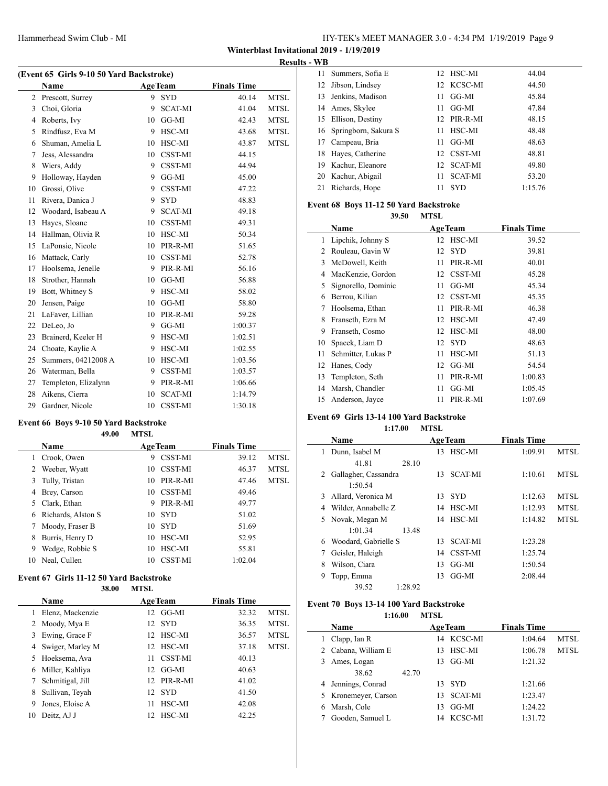| HY-TEK's MEET MANAGER 3.0 - 4:34 PM 1/19/2019 Page 9 |  |  |  |
|------------------------------------------------------|--|--|--|
|------------------------------------------------------|--|--|--|

## **Results - WB**

| (Event 65 Girls 9-10 50 Yard Backstroke) |                      |    |                |                    |             |  |  |
|------------------------------------------|----------------------|----|----------------|--------------------|-------------|--|--|
|                                          | Name                 |    | <b>AgeTeam</b> | <b>Finals Time</b> |             |  |  |
| 2                                        | Prescott, Surrey     | 9  | <b>SYD</b>     | 40.14              | <b>MTSL</b> |  |  |
| 3                                        | Choi, Gloria         | 9  | <b>SCAT-MI</b> | 41.04              | <b>MTSL</b> |  |  |
| 4                                        | Roberts, Ivy         | 10 | GG-MI          | 42.43              | MTSL        |  |  |
| 5                                        | Rindfusz, Eva M      | 9  | HSC-MI         | 43.68              | <b>MTSL</b> |  |  |
| 6                                        | Shuman, Amelia L     | 10 | HSC-MI         | 43.87              | MTSL        |  |  |
| 7                                        | Jess, Alessandra     | 10 | <b>CSST-MI</b> | 44.15              |             |  |  |
| 8                                        | Wiers, Addy          | 9  | <b>CSST-MI</b> | 44.94              |             |  |  |
| 9                                        | Holloway, Hayden     | 9  | GG-MI          | 45.00              |             |  |  |
| 10                                       | Grossi, Olive        | 9  | <b>CSST-MI</b> | 47.22              |             |  |  |
| 11                                       | Rivera, Danica J     | 9  | <b>SYD</b>     | 48.83              |             |  |  |
| 12                                       | Woodard, Isabeau A   | 9  | <b>SCAT-MI</b> | 49.18              |             |  |  |
| 13                                       | Hayes, Sloane        | 10 | <b>CSST-MI</b> | 49.31              |             |  |  |
| 14                                       | Hallman, Olivia R    | 10 | HSC-MI         | 50.34              |             |  |  |
| 15                                       | LaPonsie, Nicole     | 10 | PIR-R-MI       | 51.65              |             |  |  |
| 16                                       | Mattack, Carly       | 10 | <b>CSST-MI</b> | 52.78              |             |  |  |
| 17                                       | Hoolsema, Jenelle    | 9  | PIR-R-MI       | 56.16              |             |  |  |
| 18                                       | Strother, Hannah     | 10 | GG-MI          | 56.88              |             |  |  |
| 19                                       | Bott, Whitney S      | 9  | HSC-MI         | 58.02              |             |  |  |
| 20                                       | Jensen, Paige        | 10 | GG-MI          | 58.80              |             |  |  |
| 21                                       | LaFaver, Lillian     | 10 | PIR-R-MI       | 59.28              |             |  |  |
| 22                                       | DeLeo, Jo            | 9  | GG-MI          | 1:00.37            |             |  |  |
| 23                                       | Brainerd, Keeler H   | 9  | HSC-MI         | 1:02.51            |             |  |  |
| 24                                       | Choate, Kaylie A     | 9  | HSC-MI         | 1:02.55            |             |  |  |
| 25                                       | Summers, 04212008 A  | 10 | HSC-MI         | 1:03.56            |             |  |  |
| 26                                       | Waterman, Bella      | 9  | CSST-MI        | 1:03.57            |             |  |  |
| 27                                       | Templeton, Elizalynn | 9  | PIR-R-MI       | 1:06.66            |             |  |  |
| 28                                       | Aikens, Cierra       | 10 | <b>SCAT-MI</b> | 1:14.79            |             |  |  |
| 29                                       | Gardner, Nicole      | 10 | <b>CSST-MI</b> | 1:30.18            |             |  |  |

## **Event 66 Boys 9-10 50 Yard Backstroke**

#### **49.00 MTSL**

|    | <b>Name</b>        |    | <b>AgeTeam</b> | <b>Finals Time</b> |      |
|----|--------------------|----|----------------|--------------------|------|
| 1  | Crook, Owen        | 9  | CSST-MI        | 39.12              | MTSL |
| 2  | Weeber, Wyatt      | 10 | <b>CSST-MI</b> | 46.37              | MTSL |
| 3  | Tully, Tristan     | 10 | PIR-R-MI       | 47.46              | MTSL |
| 4  | Brey, Carson       | 10 | <b>CSST-MI</b> | 49.46              |      |
| 5  | Clark, Ethan       | 9  | PIR-R-MI       | 49.77              |      |
| 6  | Richards, Alston S | 10 | <b>SYD</b>     | 51.02              |      |
| 7  | Moody, Fraser B    | 10 | <b>SYD</b>     | 51.69              |      |
| 8  | Burris, Henry D    | 10 | HSC-MI         | 52.95              |      |
| 9  | Wedge, Robbie S    | 10 | HSC-MI         | 55.81              |      |
| 10 | Neal, Cullen       | 10 | <b>CSST-MI</b> | 1:02.04            |      |

#### **Event 67 Girls 11-12 50 Yard Backstroke 38.00 MTSL**

|    | vv.vv            | .               |                |                    |             |
|----|------------------|-----------------|----------------|--------------------|-------------|
|    | <b>Name</b>      |                 | <b>AgeTeam</b> | <b>Finals Time</b> |             |
| 1  | Elenz, Mackenzie | 12              | GG-MI          | 32.32              | MTSL        |
|    | 2 Moody, Mya E   | 12.             | -SYD           | 36.35              | MTSL        |
| 3  | Ewing, Grace F   | 12              | HSC-MI         | 36.57              | MTSL        |
| 4  | Swiger, Marley M | 12.             | HSC-MI         | 37.18              | <b>MTSL</b> |
| 5. | Hoeksema, Ava    | 11              | <b>CSST-MI</b> | 40.13              |             |
| 6  | Miller, Kahliya  | 12              | GG-MI          | 40.63              |             |
|    | Schmitigal, Jill | 12 <sub>1</sub> | PIR-R-MI       | 41.02              |             |
| 8  | Sullivan, Teyah  | 12              | -SYD           | 41.50              |             |
| 9  | Jones, Eloise A  | 11              | HSC-MI         | 42.08              |             |
| 10 | Deitz, AJ J      | 12.             | HSC-MI         | 42.25              |             |
|    |                  |                 |                |                    |             |

|    | 11 Summers, Sofia E     |    | 12 HSC-MI      | 44.04   |
|----|-------------------------|----|----------------|---------|
|    | 12 Jibson, Lindsey      |    | 12 KCSC-MI     | 44.50   |
| 13 | Jenkins, Madison        | 11 | GG-MI          | 45.84   |
|    | 14 Ames, Skylee         | 11 | GG-MI          | 47.84   |
|    | 15 Ellison, Destiny     |    | 12 PIR-R-MI    | 48.15   |
|    | 16 Springborn, Sakura S | 11 | HSC-MI         | 48.48   |
| 17 | Campeau, Bria           | 11 | GG-MI          | 48.63   |
|    | 18 Hayes, Catherine     |    | 12 CSST-MI     | 48.81   |
| 19 | Kachur, Eleanore        |    | 12 SCAT-MI     | 49.80   |
| 20 | Kachur, Abigail         | 11 | <b>SCAT-MI</b> | 53.20   |
| 21 | Richards, Hope          | 11 | <b>SYD</b>     | 1:15.76 |
|    |                         |    |                |         |

## **Event 68 Boys 11-12 50 Yard Backstroke**

**39.50 MTSL**

|    | Name                | <b>AgeTeam</b>   |          | <b>Finals Time</b> |  |
|----|---------------------|------------------|----------|--------------------|--|
| 1  | Lipchik, Johnny S   | 12               | HSC-MI   | 39.52              |  |
| 2  | Rouleau, Gavin W    | <b>SYD</b><br>12 |          | 39.81              |  |
| 3  | McDowell, Keith     | 11               | PIR-R-MI | 40.01              |  |
| 4  | MacKenzie, Gordon   | 12               | CSST-MI  | 45.28              |  |
| 5  | Signorello, Dominic | 11               | GG-MI    | 45.34              |  |
| 6  | Berrou, Kilian      | 12               | CSST-MI  | 45.35              |  |
| 7  | Hoolsema, Ethan     | 11               | PIR-R-MI | 46.38              |  |
| 8  | Franseth, Ezra M    | 12               | HSC-MI   | 47.49              |  |
| 9  | Franseth, Cosmo     | 12               | HSC-MI   | 48.00              |  |
| 10 | Spacek, Liam D      | <b>SYD</b><br>12 |          | 48.63              |  |
| 11 | Schmitter, Lukas P  | 11               | HSC-MI   | 51.13              |  |
| 12 | Hanes, Cody         | 12               | GG-MI    | 54.54              |  |
| 13 | Templeton, Seth     | 11               | PIR-R-MI | 1:00.83            |  |
| 14 | Marsh, Chandler     | 11               | GG-MI    | 1:05.45            |  |
| 15 | Anderson, Jayce     | 11               | PIR-R-MI | 1:07.69            |  |

#### **Event 69 Girls 13-14 100 Yard Backstroke**

**1:17.00 MTSL**

|   | <b>Name</b>          |    | <b>AgeTeam</b> | <b>Finals Time</b> |             |
|---|----------------------|----|----------------|--------------------|-------------|
| 1 | Dunn, Isabel M       | 13 | HSC-MI         | 1:09.91            | MTSL        |
|   | 41.81<br>28.10       |    |                |                    |             |
| 2 | Gallagher, Cassandra | 13 | <b>SCAT-MI</b> | 1:10.61            | MTSL        |
|   | 1:50.54              |    |                |                    |             |
| 3 | Allard, Veronica M   | 13 | <b>SYD</b>     | 1:12.63            | <b>MTSL</b> |
| 4 | Wilder, Annabelle Z  | 14 | HSC-MI         | 1:12.93            | MTSL        |
|   | 5 Novak, Megan M     | 14 | HSC-MI         | 1:14.82            | MTSL        |
|   | 1:01.34<br>13.48     |    |                |                    |             |
| 6 | Woodard, Gabrielle S | 13 | <b>SCAT-MI</b> | 1:23.28            |             |
|   | Geisler, Haleigh     | 14 | CSST-MI        | 1:25.74            |             |
| 8 | Wilson, Ciara        | 13 | GG-MI          | 1:50.54            |             |
| 9 | Topp, Emma           | 13 | GG-MI          | 2:08.44            |             |
|   | 39.52<br>1:28.92     |    |                |                    |             |

## **Event 70 Boys 13-14 100 Yard Backstroke**

**1:16.00 MTSL**

|    | Name                 |       |     | <b>AgeTeam</b> | <b>Finals Time</b> |             |
|----|----------------------|-------|-----|----------------|--------------------|-------------|
|    | Clapp, Ian R         |       |     | 14 KCSC-MI     | 1:04.64            | MTSL        |
|    | 2 Cabana, William E  |       | 13  | HSC-MI         | 1:06.78            | <b>MTSL</b> |
| 3. | Ames, Logan          |       | 13. | GG-MI          | 1:21.32            |             |
|    | 38.62                | 42.70 |     |                |                    |             |
|    | 4 Jennings, Conrad   |       |     | 13 SYD         | 1:21.66            |             |
|    | 5 Kronemeyer, Carson |       |     | 13 SCAT-MI     | 1:23.47            |             |
|    | Marsh, Cole          |       | 13  | GG-MI          | 1:24.22            |             |
|    | Gooden, Samuel L     |       |     | 14 KCSC-MI     | 1:31.72            |             |
|    |                      |       |     |                |                    |             |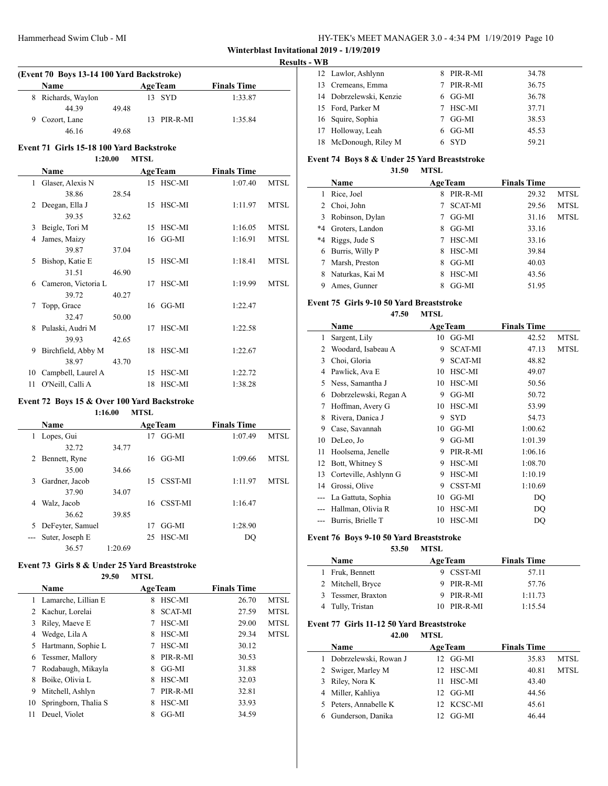| HY-TEK's MEET MANAGER 3.0 - 4:34 PM 1/19/2019 Page 10 |  |  |
|-------------------------------------------------------|--|--|
|-------------------------------------------------------|--|--|

## **Results - WB**

| (Event 70 Boys 13-14 100 Yard Backstroke) |                    |       |  |                |                    |  |  |
|-------------------------------------------|--------------------|-------|--|----------------|--------------------|--|--|
|                                           | Name               |       |  | <b>AgeTeam</b> | <b>Finals Time</b> |  |  |
|                                           | 8 Richards, Waylon |       |  | 13 SYD         | 1:33.87            |  |  |
|                                           | 44 39              | 4948  |  |                |                    |  |  |
|                                           | 9 Cozort, Lane     |       |  | 13 PIR-R-MI    | 1:35.84            |  |  |
|                                           | 46.16              | 49.68 |  |                |                    |  |  |

#### **Event 71 Girls 15-18 100 Yard Backstroke 1:20.00 MTSL**

|    | Name                |       |    | <b>AgeTeam</b> | <b>Finals Time</b> |             |
|----|---------------------|-------|----|----------------|--------------------|-------------|
|    | 1 Glaser, Alexis N  |       |    | 15 HSC-MI      | 1:07.40            | <b>MTSL</b> |
|    | 38.86               | 28.54 |    |                |                    |             |
| 2  | Deegan, Ella J      |       |    | 15 HSC-MI      | 1:11.97            | <b>MTSL</b> |
|    | 39.35               | 32.62 |    |                |                    |             |
| 3  | Beigle, Tori M      |       |    | 15 HSC-MI      | 1:16.05            | <b>MTSL</b> |
| 4  | James, Maizy        |       |    | $16$ GG-MI     | 1:16.91            | <b>MTSL</b> |
|    | 39.87               | 37.04 |    |                |                    |             |
| 5  | Bishop, Katie E     |       |    | 15 HSC-MI      | 1:18.41            | <b>MTSL</b> |
|    | 31.51               | 46.90 |    |                |                    |             |
| 6  | Cameron, Victoria L |       | 17 | HSC-MI         | 1:19.99            | <b>MTSL</b> |
|    | 39.72               | 40.27 |    |                |                    |             |
| 7  | Topp, Grace         |       |    | $16$ GG-MI     | 1:22.47            |             |
|    | 32.47               | 50.00 |    |                |                    |             |
| 8  | Pulaski, Audri M    |       | 17 | HSC-MI         | 1:22.58            |             |
|    | 39.93               | 42.65 |    |                |                    |             |
| 9  | Birchfield, Abby M  |       |    | 18 HSC-MI      | 1:22.67            |             |
|    | 38.97               | 43.70 |    |                |                    |             |
| 10 | Campbell, Laurel A  |       | 15 | HSC-MI         | 1:22.72            |             |
| 11 | O'Neill, Calli A    |       |    | 18 HSC-MI      | 1:38.28            |             |

## **Event 72 Boys 15 & Over 100 Yard Backstroke**

#### **1:16.00 MTSL**

|    | <b>Name</b>      |         |     | <b>AgeTeam</b> | <b>Finals Time</b> |      |
|----|------------------|---------|-----|----------------|--------------------|------|
| 1  | Lopes, Gui       |         | 17  | GG-MI          | 1:07.49            | MTSL |
|    | 32.72            | 34.77   |     |                |                    |      |
| 2  | Bennett, Ryne    |         | 16  | GG-MI          | 1:09.66            | MTSL |
|    | 35.00            | 34.66   |     |                |                    |      |
| 3  | Gardner, Jacob   |         | 15  | <b>CSST-MI</b> | 1:11.97            | MTSL |
|    | 37.90            | 34.07   |     |                |                    |      |
| 4  | Walz, Jacob      |         |     | 16 CSST-MI     | 1:16.47            |      |
|    | 36.62            | 39.85   |     |                |                    |      |
| 5. | DeFeyter, Samuel |         | 17  | GG-MI          | 1:28.90            |      |
|    | Suter, Joseph E  |         | 25. | HSC-MI         | DQ                 |      |
|    | 36.57            | 1:20.69 |     |                |                    |      |

## **Event 73 Girls 8 & Under 25 Yard Breaststroke**

| 29.50 | <b>MTSL</b> |
|-------|-------------|
|-------|-------------|

| <b>Name</b> |                      |   | <b>AgeTeam</b> | <b>Finals Time</b> |             |
|-------------|----------------------|---|----------------|--------------------|-------------|
| 1           | Lamarche, Lillian E  | 8 | HSC-MI         | 26.70              | <b>MTSL</b> |
|             | 2 Kachur, Lorelai    | 8 | <b>SCAT-MI</b> | 27.59              | <b>MTSL</b> |
| 3           | Riley, Maeve E       |   | HSC-MI         | 29.00              | <b>MTSL</b> |
| 4           | Wedge, Lila A        | 8 | HSC-MI         | 29.34              | <b>MTSL</b> |
| 5.          | Hartmann, Sophie L   | 7 | HSC-MI         | 30.12              |             |
| 6           | Tessmer, Mallory     | 8 | PIR-R-MI       | 30.53              |             |
|             | Rodabaugh, Mikayla   | 8 | GG-MI          | 31.88              |             |
| 8           | Boike, Olivia L      | 8 | HSC-MI         | 32.03              |             |
| 9           | Mitchell, Ashlyn     |   | PIR-R-MI       | 32.81              |             |
| 10          | Springborn, Thalia S | 8 | HSC-MI         | 33.93              |             |
| 11          | Deuel, Violet        |   | GG-MI          | 34.59              |             |

|    | 12 Lawlor, Ashlynn      |    | PIR-R-MI | 34.78 |
|----|-------------------------|----|----------|-------|
| 13 | Cremeans, Emma          |    | PIR-R-MI | 36.75 |
|    | 14 Dobrzelewski, Kenzie |    | 6 GG-MI  | 36.78 |
|    | 15 Ford, Parker M       |    | HSC-MI   | 37.71 |
|    | 16 Squire, Sophia       |    | GG-MI    | 38.53 |
|    | 17 Holloway, Leah       | 6. | GG-MI    | 45.53 |
| 18 | McDonough, Riley M      |    | SYD      | 59.21 |
|    |                         |    |          |       |

#### **Event 74 Boys 8 & Under 25 Yard Breaststroke**

**31.50 MTSL**

|      | Name            |   | <b>AgeTeam</b> | <b>Finals Time</b> |             |
|------|-----------------|---|----------------|--------------------|-------------|
| 1    | Rice, Joel      | 8 | PIR-R-MI       | 29.32              | MTSL        |
| 2    | Choi, John      |   | <b>SCAT-MI</b> | 29.56              | <b>MTSL</b> |
| 3    | Robinson, Dylan |   | GG-MI          | 31.16              | <b>MTSL</b> |
| *4   | Groters, Landon | 8 | GG-MI          | 33.16              |             |
| $*4$ | Riggs, Jude S   | 7 | HSC-MI         | 33.16              |             |
| 6    | Burris, Willy P | 8 | HSC-MI         | 39.84              |             |
| 7    | Marsh, Preston  | 8 | GG-MI          | 40.03              |             |
| 8    | Naturkas, Kai M | 8 | HSC-MI         | 43.56              |             |
|      | Ames, Gunner    |   | GG-MI          | 51.95              |             |

### **Event 75 Girls 9-10 50 Yard Breaststroke**

**47.50 MTSL**

|     | Name                  |    | <b>AgeTeam</b> | <b>Finals Time</b> |             |
|-----|-----------------------|----|----------------|--------------------|-------------|
| 1   | Sargent, Lily         | 10 | GG-MI          | 42.52              | <b>MTSL</b> |
| 2   | Woodard, Isabeau A    | 9  | <b>SCAT-MI</b> | 47.13              | <b>MTSL</b> |
| 3   | Choi, Gloria          | 9  | <b>SCAT-MI</b> | 48.82              |             |
| 4   | Pawlick, Ava E        | 10 | HSC-MI         | 49.07              |             |
| 5   | Ness, Samantha J      | 10 | HSC-MI         | 50.56              |             |
| 6   | Dobrzelewski, Regan A | 9  | GG-MI          | 50.72              |             |
| 7   | Hoffman, Avery G      | 10 | HSC-MI         | 53.99              |             |
| 8   | Rivera, Danica J      | 9  | <b>SYD</b>     | 54.73              |             |
| 9   | Case, Savannah        | 10 | GG-MI          | 1:00.62            |             |
| 10  | DeLeo, Jo             | 9  | GG-MI          | 1:01.39            |             |
| 11  | Hoolsema, Jenelle     | 9  | PIR-R-MI       | 1:06.16            |             |
| 12  | Bott, Whitney S       | 9  | HSC-MI         | 1:08.70            |             |
| 13  | Corteville, Ashlynn G | 9  | HSC-MI         | 1:10.19            |             |
| 14  | Grossi, Olive         | 9  | CSST-MI        | 1:10.69            |             |
| --- | La Gattuta, Sophia    | 10 | GG-MI          | DO                 |             |
| --- | Hallman, Olivia R     | 10 | HSC-MI         | DQ                 |             |
| --- | Burris, Brielle T     | 10 | HSC-MI         | DO                 |             |

## **Event 76 Boys 9-10 50 Yard Breaststroke**

**53.50 MTSL**

| <b>Name</b>        | <b>AgeTeam</b> | <b>Finals Time</b> |
|--------------------|----------------|--------------------|
| 1 Fruk, Bennett    | 9 CSST-MI      | 57.11              |
| 2 Mitchell, Bryce  | 9 PIR-R-MI     | 57.76              |
| 3 Tessmer, Braxton | 9 PIR-R-MI     | 1:11.73            |
| 4 Tully, Tristan   | $10$ PIR-R-MI  | 1:15.54            |

#### **Event 77 Girls 11-12 50 Yard Breaststroke 42.00 MTSL**

| ----                    | 88 H S D |                |                    |             |
|-------------------------|----------|----------------|--------------------|-------------|
| Name                    |          | <b>AgeTeam</b> | <b>Finals Time</b> |             |
| 1 Dobrzelewski, Rowan J |          | 12 GG-MI       | 35.83              | MTSL        |
| 2 Swiger, Marley M      |          | 12 HSC-MI      | 40.81              | <b>MTSL</b> |
| 3 Riley, Nora K         | 11       | HSC-MI         | 43.40              |             |
| 4 Miller, Kahliya       | 12.      | GG-MI          | 44.56              |             |
| 5 Peters, Annabelle K   |          | 12 KCSC-MI     | 45.61              |             |
| Gunderson, Danika       |          | GG-MI          | 46 44              |             |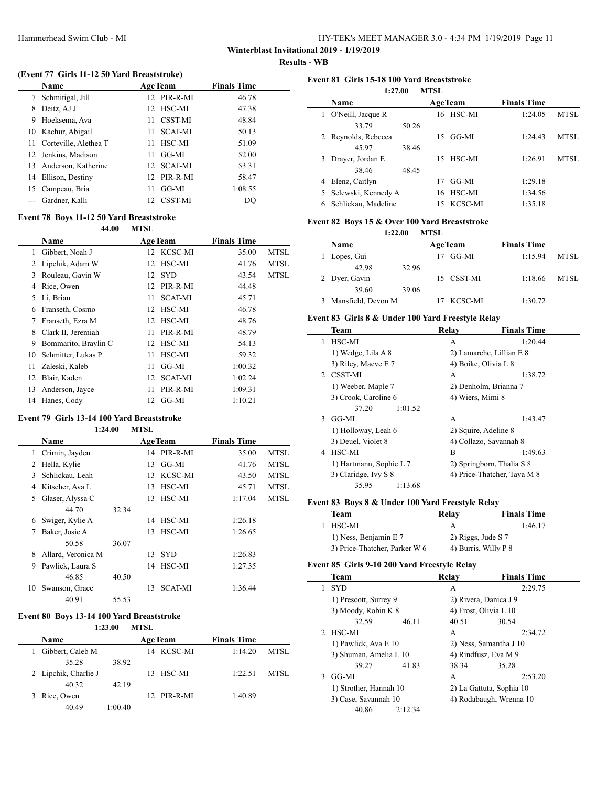| HY-TEK's MEET MANAGER 3.0 - 4:34 PM 1/19/2019 Page 11 |  |
|-------------------------------------------------------|--|
|-------------------------------------------------------|--|

#### **Results - WB**

|    | (Event 77 Girls 11-12 50 Yard Breaststroke) |                 |                |                    |  |  |  |
|----|---------------------------------------------|-----------------|----------------|--------------------|--|--|--|
|    | Name                                        |                 | <b>AgeTeam</b> | <b>Finals Time</b> |  |  |  |
| 7  | Schmitigal, Jill                            | 12.             | PIR-R-MI       | 46.78              |  |  |  |
| 8  | Deitz, AJ J                                 | 12.             | HSC-MI         | 47.38              |  |  |  |
| 9  | Hoeksema, Ava                               | 11              | <b>CSST-MI</b> | 48.84              |  |  |  |
|    | 10 Kachur, Abigail                          | 11              | <b>SCAT-MI</b> | 50.13              |  |  |  |
| 11 | Corteville, Alethea T                       | 11              | HSC-MI         | 51.09              |  |  |  |
|    | 12 Jenkins, Madison                         | 11              | GG-MI          | 52.00              |  |  |  |
| 13 | Anderson, Katherine                         | 12 <sub>1</sub> | <b>SCAT-MI</b> | 53.31              |  |  |  |
| 14 | Ellison, Destiny                            | 12              | PIR-R-MI       | 58.47              |  |  |  |
| 15 | Campeau, Bria                               | 11              | GG-MI          | 1:08.55            |  |  |  |
|    | Gardner, Kalli                              | 12.             | <b>CSST-MI</b> | DO                 |  |  |  |

#### **Event 78 Boys 11-12 50 Yard Breaststroke**

|    | 44.00                | MTSL                 |                    |             |
|----|----------------------|----------------------|--------------------|-------------|
|    | Name                 | <b>AgeTeam</b>       | <b>Finals Time</b> |             |
| 1  | Gibbert, Noah J      | 12 KCSC-MI           | 35.00              | MTSL        |
| 2  | Lipchik, Adam W      | HSC-MI<br>12         | 41.76              | MTSL        |
| 3  | Rouleau, Gavin W     | <b>SYD</b><br>12     | 43.54              | <b>MTSL</b> |
| 4  | Rice, Owen           | PIR-R-MI<br>12       | 44.48              |             |
| 5  | Li, Brian            | <b>SCAT-MI</b><br>11 | 45.71              |             |
| 6  | Franseth, Cosmo      | HSC-MI<br>12         | 46.78              |             |
| 7  | Franseth, Ezra M     | HSC-MI<br>12         | 48.76              |             |
| 8  | Clark II, Jeremiah   | PIR-R-MI<br>11       | 48.79              |             |
| 9  | Bommarito, Braylin C | HSC-MI<br>12         | 54.13              |             |
| 10 | Schmitter, Lukas P   | HSC-MI<br>11         | 59.32              |             |
| 11 | Zaleski, Kaleb       | GG-MI<br>11          | 1:00.32            |             |
| 12 | Blair, Kaden         | <b>SCAT-MI</b><br>12 | 1:02.24            |             |
| 13 | Anderson, Jayce      | PIR-R-MI<br>11       | 1:09.31            |             |
| 14 | Hanes, Cody          | GG-MI<br>12          | 1:10.21            |             |
|    |                      |                      |                    |             |

#### **Event 79 Girls 13-14 100 Yard Breaststroke**

#### **1:24.00 MTSL**

|    | <b>Name</b>        |       |    | <b>AgeTeam</b> | <b>Finals Time</b> |             |
|----|--------------------|-------|----|----------------|--------------------|-------------|
| 1  | Crimin, Jayden     |       | 14 | PIR-R-MI       | 35.00              | <b>MTSL</b> |
| 2  | Hella, Kylie       |       | 13 | GG-MI          | 41.76              | <b>MTSL</b> |
| 3  | Schlickau, Leah    |       | 13 | KCSC-MI        | 43.50              | <b>MTSL</b> |
| 4  | Kitscher, Ava L    |       | 13 | HSC-MI         | 45.71              | <b>MTSL</b> |
| 5. | Glaser, Alyssa C   |       | 13 | HSC-MI         | 1:17.04            | <b>MTSL</b> |
|    | 44.70              | 32.34 |    |                |                    |             |
| 6  | Swiger, Kylie A    |       | 14 | HSC-MI         | 1:26.18            |             |
| 7  | Baker, Josie A     |       | 13 | HSC-MI         | 1:26.65            |             |
|    | 50.58              | 36.07 |    |                |                    |             |
| 8  | Allard, Veronica M |       | 13 | <b>SYD</b>     | 1:26.83            |             |
| 9  | Pawlick, Laura S   |       | 14 | HSC-MI         | 1:27.35            |             |
|    | 46.85              | 40.50 |    |                |                    |             |
| 10 | Swanson, Grace     |       | 13 | <b>SCAT-MI</b> | 1:36.44            |             |
|    | 40.91              | 55.53 |    |                |                    |             |

## **Event 80 Boys 13-14 100 Yard Breaststroke**

#### **1:23.00 MTSL**

| Name                   |                  | <b>AgeTeam</b> | <b>Finals Time</b> |       |
|------------------------|------------------|----------------|--------------------|-------|
| Gibbert, Caleb M<br>1. |                  | 14 KCSC-MI     | 1:14.20            | MTSL. |
|                        | 35.28<br>38.92   |                |                    |       |
| 2 Lipchik, Charlie J   |                  | 13 HSC-MI      | 1:22.51            | MTSL  |
|                        | 40.32<br>42.19   |                |                    |       |
| 3 Rice, Owen           |                  | $12$ PIR-R-MI  | 1:40.89            |       |
|                        | 40.49<br>1:00.40 |                |                    |       |

| Event 81 Girls 15-18 100 Yard Breaststroke<br><b>MTSL</b><br>1:27.00 |                     |                |                    |            |         |             |
|----------------------------------------------------------------------|---------------------|----------------|--------------------|------------|---------|-------------|
|                                                                      | <b>Name</b>         | <b>AgeTeam</b> | <b>Finals Time</b> |            |         |             |
|                                                                      | O'Neill, Jacque R   |                |                    | 16 HSC-MI  | 1:24.05 | MTSL        |
|                                                                      | 33.79               | 50.26          |                    |            |         |             |
|                                                                      | 2 Reynolds, Rebecca |                | 15                 | GG-MI      | 1:24.43 | <b>MTSL</b> |
|                                                                      | 45.97               | 38.46          |                    |            |         |             |
| 3                                                                    | Drayer, Jordan E    |                | 15                 | HSC-MI     | 1:26.91 | <b>MTSL</b> |
|                                                                      | 38.46               | 48.45          |                    |            |         |             |
| 4                                                                    | Elenz, Caitlyn      |                | 17                 | GG-MI      | 1:29.18 |             |
| 5.                                                                   | Selewski, Kennedy A |                | 16                 | HSC-MI     | 1:34.56 |             |
|                                                                      | Schlickau, Madeline |                |                    | 15 KCSC-MI | 1:35.18 |             |

## **Event 82 Boys 15 & Over 100 Yard Breaststroke**

**1:22.00 MTSL**

| <b>Name</b>          |       | <b>AgeTeam</b> | <b>Finals Time</b> |      |
|----------------------|-------|----------------|--------------------|------|
| 1 Lopes, Gui         |       | 17 GG-MI       | 1:15.94            | MTSL |
| 42.98                | 32.96 |                |                    |      |
| 2 Dyer, Gavin        |       | 15 CSST-MI     | 1:18.66            | MTSL |
| 39.60                | 39.06 |                |                    |      |
| 3 Mansfield, Devon M |       | KCSC-MI        | 1:30.72            |      |

## **Event 83 Girls 8 & Under 100 Yard Freestyle Relay**

|   | <b>Team</b>             | Relay            | <b>Finals Time</b>          |
|---|-------------------------|------------------|-----------------------------|
| 1 | HSC-MI                  | A                | 1:20.44                     |
|   | 1) Wedge, Lila A 8      |                  | 2) Lamarche, Lillian E 8    |
|   | 3) Riley, Maeve E 7     |                  | 4) Boike, Olivia L 8        |
|   | 2 CSST-MI               | A                | 1:38.72                     |
|   | 1) Weeber, Maple 7      |                  | 2) Denholm, Brianna 7       |
|   | 3) Crook, Caroline 6    | 4) Wiers, Mimi 8 |                             |
|   | 1:01.52<br>37.20        |                  |                             |
| 3 | GG-MI                   | A                | 1:43.47                     |
|   | 1) Holloway, Leah 6     |                  | 2) Squire, Adeline 8        |
|   | 3) Deuel, Violet 8      |                  | 4) Collazo, Savannah 8      |
| 4 | HSC-MI                  | B                | 1:49.63                     |
|   | 1) Hartmann, Sophie L 7 |                  | 2) Springborn, Thalia S 8   |
|   | 3) Claridge, Ivy S 8    |                  | 4) Price-Thatcher, Taya M 8 |
|   | 35.95<br>1:13.68        |                  |                             |

## **Event 83 Boys 8 & Under 100 Yard Freestyle Relay**

| Team                          | Relav | <b>Finals Time</b>   |
|-------------------------------|-------|----------------------|
| 1 HSC-MI                      | А     | 1:46.17              |
| 1) Ness, Benjamin E 7         |       | 2) Riggs, Jude S 7   |
| 3) Price-Thatcher, Parker W 6 |       | 4) Burris, Willy P 8 |

#### **Event 85 Girls 9-10 200 Yard Freestyle Relay**

| <b>Team</b>      |                                                |         | Relay                  | <b>Finals Time</b>       |
|------------------|------------------------------------------------|---------|------------------------|--------------------------|
| <b>SYD</b><br>1. |                                                |         | А                      | 2:29.75                  |
|                  | 1) Prescott, Surrey 9                          |         |                        | 2) Rivera, Danica J 9    |
|                  | 3) Moody, Robin K 8                            |         |                        | 4) Frost, Olivia L 10    |
|                  | 32.59                                          | 46.11   | 40.51                  | 30.54                    |
| HSC-MI<br>2      |                                                |         | A                      | 2:34.72                  |
|                  | 1) Pawlick, Ava E 10                           |         | 2) Ness, Samantha J 10 |                          |
|                  | 3) Shuman, Amelia L 10                         |         |                        | 4) Rindfusz, Eva M 9     |
|                  | 39.27                                          | 41.83   | 38.34                  | 35.28                    |
| GG-MI<br>3       |                                                |         | A                      | 2:53.20                  |
|                  | 1) Strother, Hannah 10<br>3) Case, Savannah 10 |         |                        | 2) La Gattuta, Sophia 10 |
|                  |                                                |         |                        | 4) Rodabaugh, Wrenna 10  |
|                  | 40.86                                          | 2:12.34 |                        |                          |